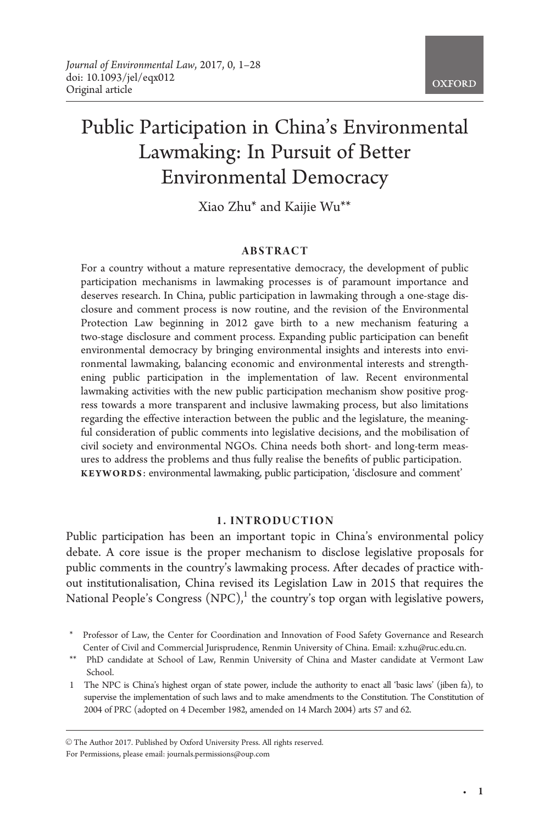# **OXFORD**

# Public Participation in China's Environmental Lawmaking: In Pursuit of Better Environmental Democracy

Xiao Zhu\* and Kaijie Wu\*\*

#### ABSTRACT

For a country without a mature representative democracy, the development of public participation mechanisms in lawmaking processes is of paramount importance and deserves research. In China, public participation in lawmaking through a one-stage disclosure and comment process is now routine, and the revision of the Environmental Protection Law beginning in 2012 gave birth to a new mechanism featuring a two-stage disclosure and comment process. Expanding public participation can benefit environmental democracy by bringing environmental insights and interests into environmental lawmaking, balancing economic and environmental interests and strengthening public participation in the implementation of law. Recent environmental lawmaking activities with the new public participation mechanism show positive progress towards a more transparent and inclusive lawmaking process, but also limitations regarding the effective interaction between the public and the legislature, the meaningful consideration of public comments into legislative decisions, and the mobilisation of civil society and environmental NGOs. China needs both short- and long-term measures to address the problems and thus fully realise the benefits of public participation. KEYWORDS: environmental lawmaking, public participation, 'disclosure and comment'

#### 1. INTRODUCTION

Public participation has been an important topic in China's environmental policy debate. A core issue is the proper mechanism to disclose legislative proposals for public comments in the country's lawmaking process. After decades of practice without institutionalisation, China revised its Legislation Law in 2015 that requires the National People's Congress  $(NPC)$ ,<sup>1</sup> the country's top organ with legislative powers,

© The Author 2017. Published by Oxford University Press. All rights reserved. For Permissions, please email: journals.permissions@oup.com

<sup>\*</sup> Professor of Law, the Center for Coordination and Innovation of Food Safety Governance and Research Center of Civil and Commercial Jurisprudence, Renmin University of China. Email: x.zhu@ruc.edu.cn.

<sup>\*\*</sup> PhD candidate at School of Law, Renmin University of China and Master candidate at Vermont Law School.

<sup>1</sup> The NPC is China's highest organ of state power, include the authority to enact all 'basic laws' (jiben fa), to supervise the implementation of such laws and to make amendments to the Constitution. The Constitution of 2004 of PRC (adopted on 4 December 1982, amended on 14 March 2004) arts 57 and 62.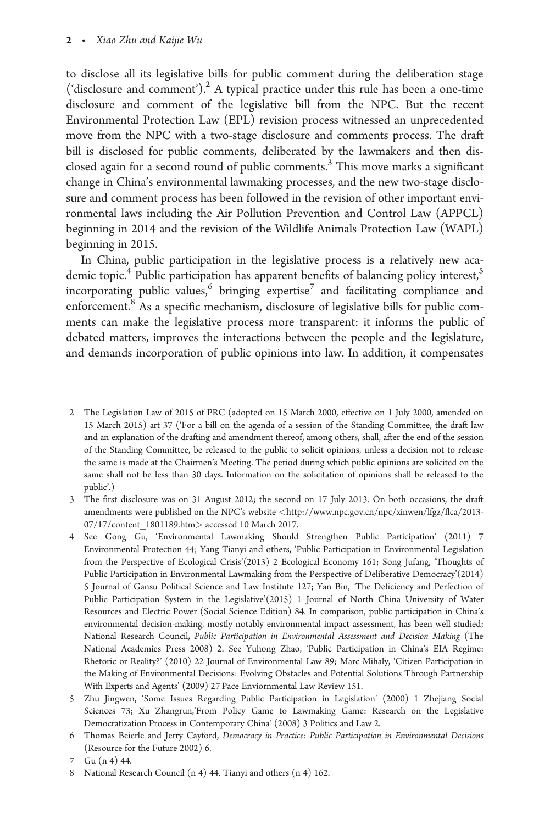to disclose all its legislative bills for public comment during the deliberation stage ('disclosure and comment').<sup>2</sup> A typical practice under this rule has been a one-time disclosure and comment of the legislative bill from the NPC. But the recent Environmental Protection Law (EPL) revision process witnessed an unprecedented move from the NPC with a two-stage disclosure and comments process. The draft bill is disclosed for public comments, deliberated by the lawmakers and then disclosed again for a second round of public comments.<sup>3</sup> This move marks a significant change in China's environmental lawmaking processes, and the new two-stage disclosure and comment process has been followed in the revision of other important environmental laws including the Air Pollution Prevention and Control Law (APPCL) beginning in 2014 and the revision of the Wildlife Animals Protection Law (WAPL) beginning in 2015.

In China, public participation in the legislative process is a relatively new academic topic.<sup>4</sup> Public participation has apparent benefits of balancing policy interest,<sup>5</sup> incorporating public values, $6$  bringing expertise<sup>7</sup> and facilitating compliance and enforcement.8 As a specific mechanism, disclosure of legislative bills for public comments can make the legislative process more transparent: it informs the public of debated matters, improves the interactions between the people and the legislature, and demands incorporation of public opinions into law. In addition, it compensates

- 2 The Legislation Law of 2015 of PRC (adopted on 15 March 2000, effective on 1 July 2000, amended on 15 March 2015) art 37 ('For a bill on the agenda of a session of the Standing Committee, the draft law and an explanation of the drafting and amendment thereof, among others, shall, after the end of the session of the Standing Committee, be released to the public to solicit opinions, unless a decision not to release the same is made at the Chairmen's Meeting. The period during which public opinions are solicited on the same shall not be less than 30 days. Information on the solicitation of opinions shall be released to the public'.)
- 3 The first disclosure was on 31 August 2012; the second on 17 July 2013. On both occasions, the draft amendments were published on the NPC's website <[http://www.npc.gov.cn/npc/xinwen/lfgz/flca/2013-](http://www.npc.gov.cn/npc/xinwen/lfgz/flca/2013-07/17/content_1801189.htm) [07/17/content\\_1801189.htm](http://www.npc.gov.cn/npc/xinwen/lfgz/flca/2013-07/17/content_1801189.htm)> accessed 10 March 2017.
- 4 See Gong Gu, 'Environmental Lawmaking Should Strengthen Public Participation' (2011) 7 Environmental Protection 44; Yang Tianyi and others, 'Public Participation in Environmental Legislation from the Perspective of Ecological Crisis'(2013) 2 Ecological Economy 161; Song Jufang, 'Thoughts of Public Participation in Environmental Lawmaking from the Perspective of Deliberative Democracy'(2014) 5 Journal of Gansu Political Science and Law Institute 127; Yan Bin, 'The Deficiency and Perfection of Public Participation System in the Legislative'(2015) 1 Journal of North China University of Water Resources and Electric Power (Social Science Edition) 84. In comparison, public participation in China's environmental decision-making, mostly notably environmental impact assessment, has been well studied; National Research Council, Public Participation in Environmental Assessment and Decision Making (The National Academies Press 2008) 2. See Yuhong Zhao, 'Public Participation in China's EIA Regime: Rhetoric or Reality?' (2010) 22 Journal of Environmental Law 89; Marc Mihaly, 'Citizen Participation in the Making of Environmental Decisions: Evolving Obstacles and Potential Solutions Through Partnership With Experts and Agents' (2009) 27 Pace Enviornmental Law Review 151.
- 5 Zhu Jingwen, 'Some Issues Regarding Public Participation in Legislation' (2000) 1 Zhejiang Social Sciences 73; Xu Zhangrun,'From Policy Game to Lawmaking Game: Research on the Legislative Democratization Process in Contemporary China' (2008) 3 Politics and Law 2.
- 6 Thomas Beierle and Jerry Cayford, Democracy in Practice: Public Participation in Environmental Decisions (Resource for the Future 2002) 6.

8 National Research Council (n 4) 44. Tianyi and others (n 4) 162.

<sup>7</sup> Gu (n 4) 44.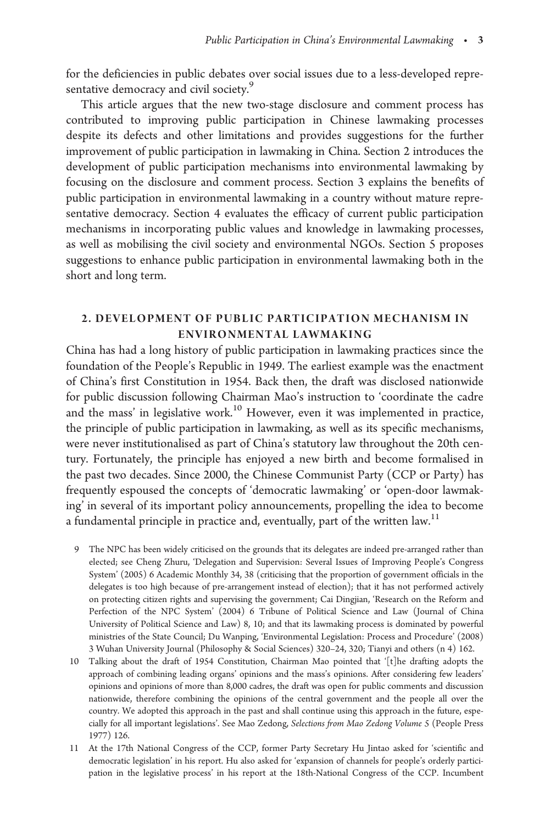for the deficiencies in public debates over social issues due to a less-developed representative democracy and civil society.<sup>9</sup>

This article argues that the new two-stage disclosure and comment process has contributed to improving public participation in Chinese lawmaking processes despite its defects and other limitations and provides suggestions for the further improvement of public participation in lawmaking in China. Section 2 introduces the development of public participation mechanisms into environmental lawmaking by focusing on the disclosure and comment process. Section 3 explains the benefits of public participation in environmental lawmaking in a country without mature representative democracy. Section 4 evaluates the efficacy of current public participation mechanisms in incorporating public values and knowledge in lawmaking processes, as well as mobilising the civil society and environmental NGOs. Section 5 proposes suggestions to enhance public participation in environmental lawmaking both in the short and long term.

## 2. DEVELOPMENT OF PUBLIC PARTICIPATION MECHANISM IN ENVIRONMENTAL LAWMAKING

China has had a long history of public participation in lawmaking practices since the foundation of the People's Republic in 1949. The earliest example was the enactment of China's first Constitution in 1954. Back then, the draft was disclosed nationwide for public discussion following Chairman Mao's instruction to 'coordinate the cadre and the mass' in legislative work.<sup>10</sup> However, even it was implemented in practice, the principle of public participation in lawmaking, as well as its specific mechanisms, were never institutionalised as part of China's statutory law throughout the 20th century. Fortunately, the principle has enjoyed a new birth and become formalised in the past two decades. Since 2000, the Chinese Communist Party (CCP or Party) has frequently espoused the concepts of 'democratic lawmaking' or 'open-door lawmaking' in several of its important policy announcements, propelling the idea to become a fundamental principle in practice and, eventually, part of the written law.<sup>11</sup>

- 9 The NPC has been widely criticised on the grounds that its delegates are indeed pre-arranged rather than elected; see Cheng Zhuru, 'Delegation and Supervision: Several Issues of Improving People's Congress System' (2005) 6 Academic Monthly 34, 38 (criticising that the proportion of government officials in the delegates is too high because of pre-arrangement instead of election); that it has not performed actively on protecting citizen rights and supervising the government; Cai Dingjian, 'Research on the Reform and Perfection of the NPC System' (2004) 6 Tribune of Political Science and Law (Journal of China University of Political Science and Law) 8, 10; and that its lawmaking process is dominated by powerful ministries of the State Council; Du Wanping, 'Environmental Legislation: Process and Procedure' (2008) 3 Wuhan University Journal (Philosophy & Social Sciences) 320–24, 320; Tianyi and others (n 4) 162.
- 10 Talking about the draft of 1954 Constitution, Chairman Mao pointed that '[t]he drafting adopts the approach of combining leading organs' opinions and the mass's opinions. After considering few leaders' opinions and opinions of more than 8,000 cadres, the draft was open for public comments and discussion nationwide, therefore combining the opinions of the central government and the people all over the country. We adopted this approach in the past and shall continue using this approach in the future, especially for all important legislations'. See Mao Zedong, Selections from Mao Zedong Volume 5 (People Press 1977) 126.
- 11 At the 17th National Congress of the CCP, former Party Secretary Hu Jintao asked for 'scientific and democratic legislation' in his report. Hu also asked for 'expansion of channels for people's orderly participation in the legislative process' in his report at the 18th-National Congress of the CCP. Incumbent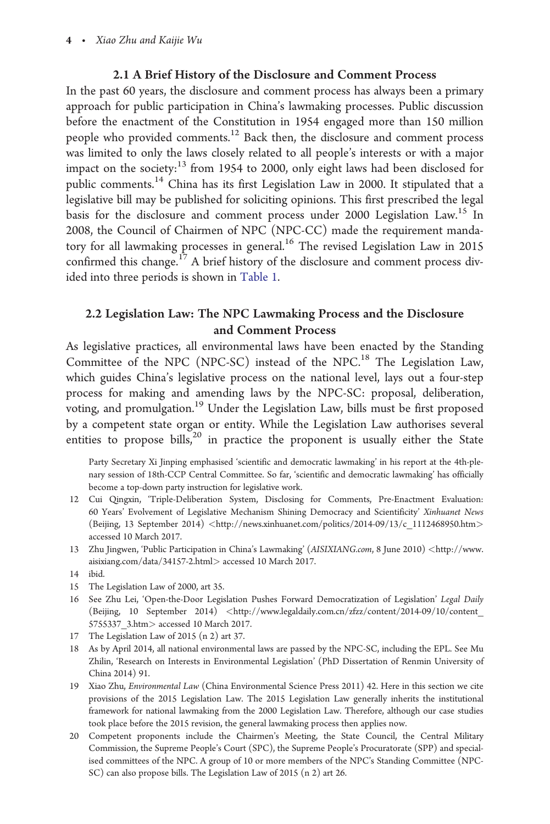4 - Xiao Zhu and Kaijie Wu

## 2.1 A Brief History of the Disclosure and Comment Process

In the past 60 years, the disclosure and comment process has always been a primary approach for public participation in China's lawmaking processes. Public discussion before the enactment of the Constitution in 1954 engaged more than 150 million people who provided comments.12 Back then, the disclosure and comment process was limited to only the laws closely related to all people's interests or with a major impact on the society:<sup>13</sup> from 1954 to 2000, only eight laws had been disclosed for public comments.<sup>14</sup> China has its first Legislation Law in 2000. It stipulated that a legislative bill may be published for soliciting opinions. This first prescribed the legal basis for the disclosure and comment process under 2000 Legislation Law.<sup>15</sup> In 2008, the Council of Chairmen of NPC (NPC-CC) made the requirement mandatory for all lawmaking processes in general.<sup>16</sup> The revised Legislation Law in 2015 confirmed this change.<sup>17</sup> A brief history of the disclosure and comment process divided into three periods is shown in [Table 1](#page-4-0).

# 2.2 Legislation Law: The NPC Lawmaking Process and the Disclosure and Comment Process

As legislative practices, all environmental laws have been enacted by the Standing Committee of the NPC (NPC-SC) instead of the NPC.18 The Legislation Law, which guides China's legislative process on the national level, lays out a four-step process for making and amending laws by the NPC-SC: proposal, deliberation, voting, and promulgation.<sup>19</sup> Under the Legislation Law, bills must be first proposed by a competent state organ or entity. While the Legislation Law authorises several entities to propose bills, $20$  in practice the proponent is usually either the State

Party Secretary Xi Jinping emphasised 'scientific and democratic lawmaking' in his report at the 4th-plenary session of 18th-CCP Central Committee. So far, 'scientific and democratic lawmaking' has officially become a top-down party instruction for legislative work.

- 12 Cui Qingxin, 'Triple-Deliberation System, Disclosing for Comments, Pre-Enactment Evaluation: 60 Years' Evolvement of Legislative Mechanism Shining Democracy and Scientificity' Xinhuanet News (Beijing, 13 September 2014) <[http://news.xinhuanet.com/politics/2014-09/13/c\\_1112468950.htm](http://news.xinhuanet.com/politics/2014-09/13/c_1112468950.htm)> accessed 10 March 2017.
- 13 Zhu Jingwen, 'Public Participation in China's Lawmaking' (AISIXIANG.com, 8 June 2010) <[http://www.](http://www.npc.gov.cn/npc/xinwen/lfgz/flca/2013-07/17/content_1801189.htm) [aisixiang.com/data/34157-2.html](http://www.npc.gov.cn/npc/xinwen/lfgz/flca/2013-07/17/content_1801189.htm)> accessed 10 March 2017.
- 14 ibid.
- 15 The Legislation Law of 2000, art 35.
- 16 See Zhu Lei, 'Open-the-Door Legislation Pushes Forward Democratization of Legislation' Legal Daily (Beijing, 10 September 2014) <http://www.legaldaily.com.cn/zfzz/content/2014-09/10/content [5755337\\_3.htm](http://www.legaldaily.com.cn/zfzz/content/2014-09/10/content_5755337_3.htm)> accessed 10 March 2017.
- 17 The Legislation Law of 2015 (n 2) art 37.
- 18 As by April 2014, all national environmental laws are passed by the NPC-SC, including the EPL. See Mu Zhilin, 'Research on Interests in Environmental Legislation' (PhD Dissertation of Renmin University of China 2014) 91.
- 19 Xiao Zhu, Environmental Law (China Environmental Science Press 2011) 42. Here in this section we cite provisions of the 2015 Legislation Law. The 2015 Legislation Law generally inherits the institutional framework for national lawmaking from the 2000 Legislation Law. Therefore, although our case studies took place before the 2015 revision, the general lawmaking process then applies now.
- 20 Competent proponents include the Chairmen's Meeting, the State Council, the Central Military Commission, the Supreme People's Court (SPC), the Supreme People's Procuratorate (SPP) and specialised committees of the NPC. A group of 10 or more members of the NPC's Standing Committee (NPC-SC) can also propose bills. The Legislation Law of 2015 (n 2) art 26.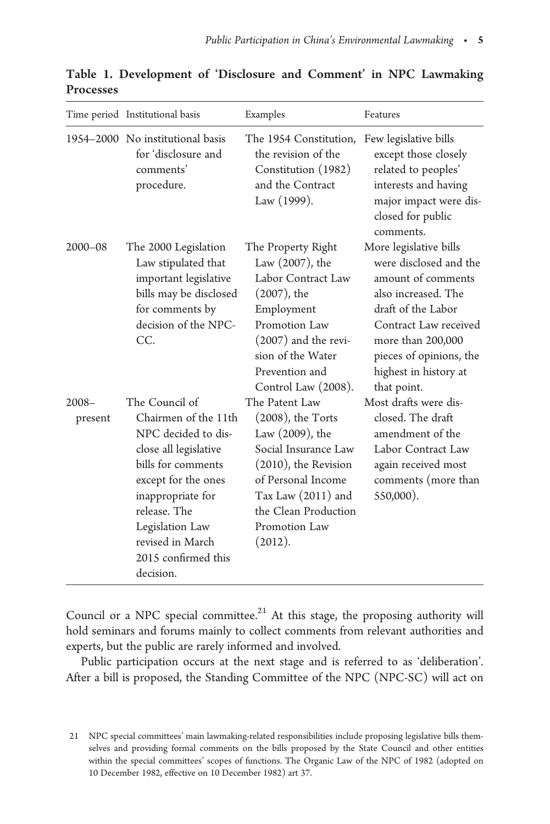|                     | Time period Institutional basis                                                                                                                                                                                                                     | Examples                                                                                                                                                                                                     | Features                                                                                                                                                                                                                             |
|---------------------|-----------------------------------------------------------------------------------------------------------------------------------------------------------------------------------------------------------------------------------------------------|--------------------------------------------------------------------------------------------------------------------------------------------------------------------------------------------------------------|--------------------------------------------------------------------------------------------------------------------------------------------------------------------------------------------------------------------------------------|
|                     | 1954–2000 No institutional basis<br>for 'disclosure and<br>comments'<br>procedure.                                                                                                                                                                  | The 1954 Constitution,<br>the revision of the<br>Constitution (1982)<br>and the Contract<br>Law (1999).                                                                                                      | Few legislative bills<br>except those closely<br>related to peoples'<br>interests and having<br>major impact were dis-<br>closed for public<br>comments.                                                                             |
| $2000 - 08$         | The 2000 Legislation<br>Law stipulated that<br>important legislative<br>bills may be disclosed<br>for comments by<br>decision of the NPC-<br>CC.                                                                                                    | The Property Right<br>Law (2007), the<br>Labor Contract Law<br>$(2007)$ , the<br>Employment<br>Promotion Law<br>$(2007)$ and the revi-<br>sion of the Water<br>Prevention and<br>Control Law (2008).         | More legislative bills<br>were disclosed and the<br>amount of comments<br>also increased. The<br>draft of the Labor<br>Contract Law received<br>more than 200,000<br>pieces of opinions, the<br>highest in history at<br>that point. |
| $2008 -$<br>present | The Council of<br>Chairmen of the 11th<br>NPC decided to dis-<br>close all legislative<br>bills for comments<br>except for the ones<br>inappropriate for<br>release. The<br>Legislation Law<br>revised in March<br>2015 confirmed this<br>decision. | The Patent Law<br>$(2008)$ , the Torts<br>Law (2009), the<br>Social Insurance Law<br>$(2010)$ , the Revision<br>of Personal Income<br>Tax Law (2011) and<br>the Clean Production<br>Promotion Law<br>(2012). | Most drafts were dis-<br>closed. The draft<br>amendment of the<br>Labor Contract Law<br>again received most<br>comments (more than<br>550,000).                                                                                      |

<span id="page-4-0"></span>Table 1. Development of 'Disclosure and Comment' in NPC Lawmaking Processes

Council or a NPC special committee. $21$  At this stage, the proposing authority will hold seminars and forums mainly to collect comments from relevant authorities and experts, but the public are rarely informed and involved.

Public participation occurs at the next stage and is referred to as 'deliberation'. After a bill is proposed, the Standing Committee of the NPC (NPC-SC) will act on

<sup>21</sup> NPC special committees' main lawmaking-related responsibilities include proposing legislative bills themselves and providing formal comments on the bills proposed by the State Council and other entities within the special committees' scopes of functions. The Organic Law of the NPC of 1982 (adopted on 10 December 1982, effective on 10 December 1982) art 37.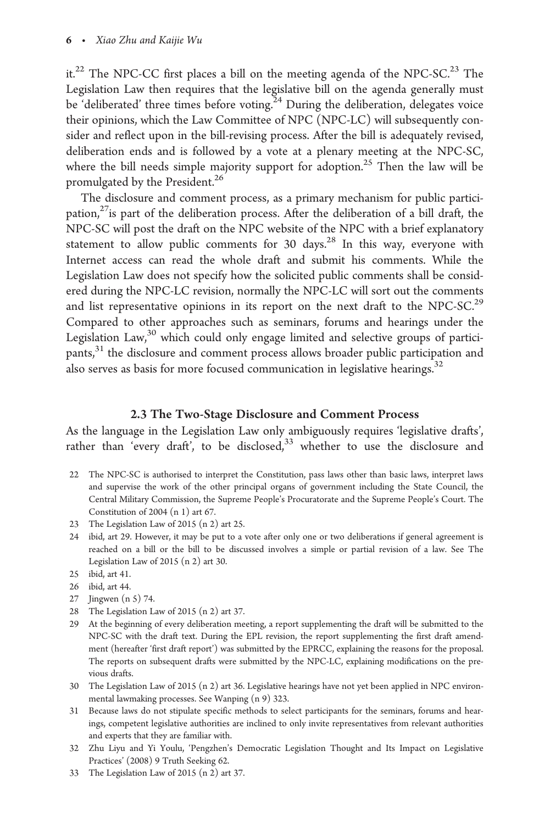it.<sup>22</sup> The NPC-CC first places a bill on the meeting agenda of the NPC-SC.<sup>23</sup> The Legislation Law then requires that the legislative bill on the agenda generally must be 'deliberated' three times before voting.<sup>24</sup> During the deliberation, delegates voice their opinions, which the Law Committee of NPC (NPC-LC) will subsequently consider and reflect upon in the bill-revising process. After the bill is adequately revised, deliberation ends and is followed by a vote at a plenary meeting at the NPC-SC, where the bill needs simple majority support for adoption.<sup>25</sup> Then the law will be promulgated by the President.<sup>26</sup>

The disclosure and comment process, as a primary mechanism for public participation, $^{27}$ is part of the deliberation process. After the deliberation of a bill draft, the NPC-SC will post the draft on the NPC website of the NPC with a brief explanatory statement to allow public comments for 30 days.<sup>28</sup> In this way, everyone with Internet access can read the whole draft and submit his comments. While the Legislation Law does not specify how the solicited public comments shall be considered during the NPC-LC revision, normally the NPC-LC will sort out the comments and list representative opinions in its report on the next draft to the NPC-SC.<sup>29</sup> Compared to other approaches such as seminars, forums and hearings under the Legislation  $Law<sub>30</sub>$ <sup>30</sup> which could only engage limited and selective groups of participants,31 the disclosure and comment process allows broader public participation and also serves as basis for more focused communication in legislative hearings.<sup>32</sup>

#### 2.3 The Two-Stage Disclosure and Comment Process

As the language in the Legislation Law only ambiguously requires 'legislative drafts', rather than 'every draft', to be disclosed, $33$  whether to use the disclosure and

- 22 The NPC-SC is authorised to interpret the Constitution, pass laws other than basic laws, interpret laws and supervise the work of the other principal organs of government including the State Council, the Central Military Commission, the Supreme People's Procuratorate and the Supreme People's Court. The Constitution of 2004 (n 1) art 67.
- 23 The Legislation Law of 2015 (n 2) art 25.
- 24 ibid, art 29. However, it may be put to a vote after only one or two deliberations if general agreement is reached on a bill or the bill to be discussed involves a simple or partial revision of a law. See The Legislation Law of 2015 (n 2) art 30.
- 25 ibid, art 41.
- 26 ibid, art 44.
- 27 Jingwen (n 5) 74.
- 28 The Legislation Law of 2015 (n 2) art 37.
- 29 At the beginning of every deliberation meeting, a report supplementing the draft will be submitted to the NPC-SC with the draft text. During the EPL revision, the report supplementing the first draft amendment (hereafter 'first draft report') was submitted by the EPRCC, explaining the reasons for the proposal. The reports on subsequent drafts were submitted by the NPC-LC, explaining modifications on the previous drafts.
- 30 The Legislation Law of 2015 (n 2) art 36. Legislative hearings have not yet been applied in NPC environmental lawmaking processes. See Wanping (n 9) 323.
- 31 Because laws do not stipulate specific methods to select participants for the seminars, forums and hearings, competent legislative authorities are inclined to only invite representatives from relevant authorities and experts that they are familiar with.
- 32 Zhu Liyu and Yi Youlu, 'Pengzhen's Democratic Legislation Thought and Its Impact on Legislative Practices' (2008) 9 Truth Seeking 62.
- 33 The Legislation Law of 2015 (n 2) art 37.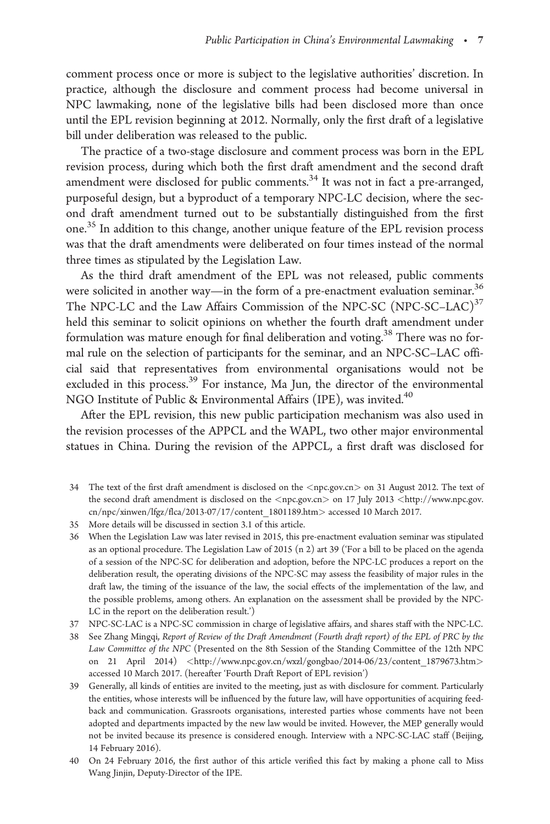comment process once or more is subject to the legislative authorities' discretion. In practice, although the disclosure and comment process had become universal in NPC lawmaking, none of the legislative bills had been disclosed more than once until the EPL revision beginning at 2012. Normally, only the first draft of a legislative bill under deliberation was released to the public.

The practice of a two-stage disclosure and comment process was born in the EPL revision process, during which both the first draft amendment and the second draft amendment were disclosed for public comments.<sup>34</sup> It was not in fact a pre-arranged, purposeful design, but a byproduct of a temporary NPC-LC decision, where the second draft amendment turned out to be substantially distinguished from the first one.<sup>35</sup> In addition to this change, another unique feature of the EPL revision process was that the draft amendments were deliberated on four times instead of the normal three times as stipulated by the Legislation Law.

As the third draft amendment of the EPL was not released, public comments were solicited in another way—in the form of a pre-enactment evaluation seminar.<sup>36</sup> The NPC-LC and the Law Affairs Commission of the NPC-SC (NPC-SC–LAC) $37$ held this seminar to solicit opinions on whether the fourth draft amendment under formulation was mature enough for final deliberation and voting.<sup>38</sup> There was no formal rule on the selection of participants for the seminar, and an NPC-SC–LAC official said that representatives from environmental organisations would not be excluded in this process.<sup>39</sup> For instance, Ma Jun, the director of the environmental NGO Institute of Public & Environmental Affairs (IPE), was invited.<sup>40</sup>

After the EPL revision, this new public participation mechanism was also used in the revision processes of the APPCL and the WAPL, two other major environmental statues in China. During the revision of the APPCL, a first draft was disclosed for

- 34 The text of the first draft amendment is disclosed on the <npc.gov.cn> on 31 August 2012. The text of the second draft amendment is disclosed on the <npc.gov.cn> on 17 July 2013 <[http://www.npc.gov.](http://www.npc.gov.cn/npc/xinwen/lfgz/flca/2013-07/17/content_1801189.htm>) [cn/npc/xinwen/lfgz/flca/2013-07/17/content\\_1801189.htm](http://www.npc.gov.cn/npc/xinwen/lfgz/flca/2013-07/17/content_1801189.htm>)> accessed 10 March 2017.
- 35 More details will be discussed in section 3.1 of this article.
- 36 When the Legislation Law was later revised in 2015, this pre-enactment evaluation seminar was stipulated as an optional procedure. The Legislation Law of 2015 (n 2) art 39 ('For a bill to be placed on the agenda of a session of the NPC-SC for deliberation and adoption, before the NPC-LC produces a report on the deliberation result, the operating divisions of the NPC-SC may assess the feasibility of major rules in the draft law, the timing of the issuance of the law, the social effects of the implementation of the law, and the possible problems, among others. An explanation on the assessment shall be provided by the NPC-LC in the report on the deliberation result.')
- 37 NPC-SC-LAC is a NPC-SC commission in charge of legislative affairs, and shares staff with the NPC-LC.

38 See Zhang Mingqi, Report of Review of the Draft Amendment (Fourth draft report) of the EPL of PRC by the Law Committee of the NPC (Presented on the 8th Session of the Standing Committee of the 12th NPC on 21 April 2014) <http://www.npc.gov.cn/wxzl/gongbao/2014-06/23/content 1879673.htm> accessed 10 March 2017. (hereafter 'Fourth Draft Report of EPL revision')

39 Generally, all kinds of entities are invited to the meeting, just as with disclosure for comment. Particularly the entities, whose interests will be influenced by the future law, will have opportunities of acquiring feedback and communication. Grassroots organisations, interested parties whose comments have not been adopted and departments impacted by the new law would be invited. However, the MEP generally would not be invited because its presence is considered enough. Interview with a NPC-SC-LAC staff (Beijing, 14 February 2016).

40 On 24 February 2016, the first author of this article verified this fact by making a phone call to Miss Wang Jinjin, Deputy-Director of the IPE.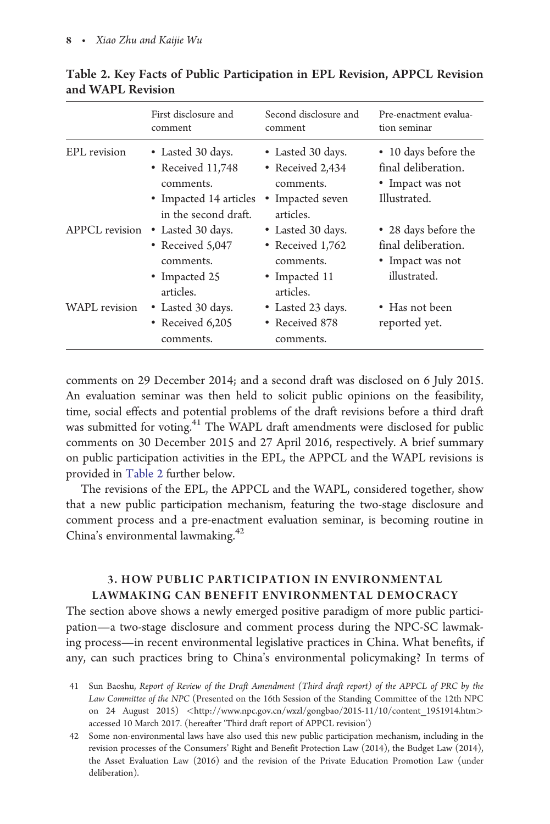|                       | First disclosure and<br>comment                                                                       | Second disclosure and<br>comment                                                    | Pre-enactment evalua-<br>tion seminar                                           |
|-----------------------|-------------------------------------------------------------------------------------------------------|-------------------------------------------------------------------------------------|---------------------------------------------------------------------------------|
| EPL revision          | • Lasted 30 days.<br>• Received 11,748<br>comments.<br>• Impacted 14 articles<br>in the second draft. | • Lasted 30 days.<br>• Received 2,434<br>comments.<br>• Impacted seven<br>articles. | • 10 days before the<br>final deliberation.<br>• Impact was not<br>Illustrated. |
| <b>APPCL</b> revision | • Lasted 30 days.<br>• Received 5,047<br>comments.<br>• Impacted 25<br>articles.                      | • Lasted 30 days.<br>• Received 1,762<br>comments.<br>• Impacted 11<br>articles.    | • 28 days before the<br>final deliberation.<br>• Impact was not<br>illustrated. |
| <b>WAPL</b> revision  | • Lasted 30 days.<br>• Received 6,205<br>comments.                                                    | • Lasted 23 days.<br>• Received 878<br>comments.                                    | • Has not been<br>reported yet.                                                 |

Table 2. Key Facts of Public Participation in EPL Revision, APPCL Revision and WAPL Revision

comments on 29 December 2014; and a second draft was disclosed on 6 July 2015. An evaluation seminar was then held to solicit public opinions on the feasibility, time, social effects and potential problems of the draft revisions before a third draft was submitted for voting.<sup>41</sup> The WAPL draft amendments were disclosed for public comments on 30 December 2015 and 27 April 2016, respectively. A brief summary on public participation activities in the EPL, the APPCL and the WAPL revisions is provided in Table 2 further below.

The revisions of the EPL, the APPCL and the WAPL, considered together, show that a new public participation mechanism, featuring the two-stage disclosure and comment process and a pre-enactment evaluation seminar, is becoming routine in China's environmental lawmaking.42

# 3. HOW PUBLIC PARTICIPATION IN ENVIRONMENTAL LAWMAKING CAN BENEFIT ENVIRONMENTAL DEMOCRACY

The section above shows a newly emerged positive paradigm of more public participation—a two-stage disclosure and comment process during the NPC-SC lawmaking process—in recent environmental legislative practices in China. What benefits, if any, can such practices bring to China's environmental policymaking? In terms of

41 Sun Baoshu, Report of Review of the Draft Amendment (Third draft report) of the APPCL of PRC by the Law Committee of the NPC (Presented on the 16th Session of the Standing Committee of the 12th NPC on 24 August 2015) <http://www.npc.gov.cn/wxzl/gongbao/2015-11/10/content 1951914.htm> accessed 10 March 2017. (hereafter 'Third draft report of APPCL revision')

42 Some non-environmental laws have also used this new public participation mechanism, including in the revision processes of the Consumers' Right and Benefit Protection Law (2014), the Budget Law (2014), the Asset Evaluation Law (2016) and the revision of the Private Education Promotion Law (under deliberation).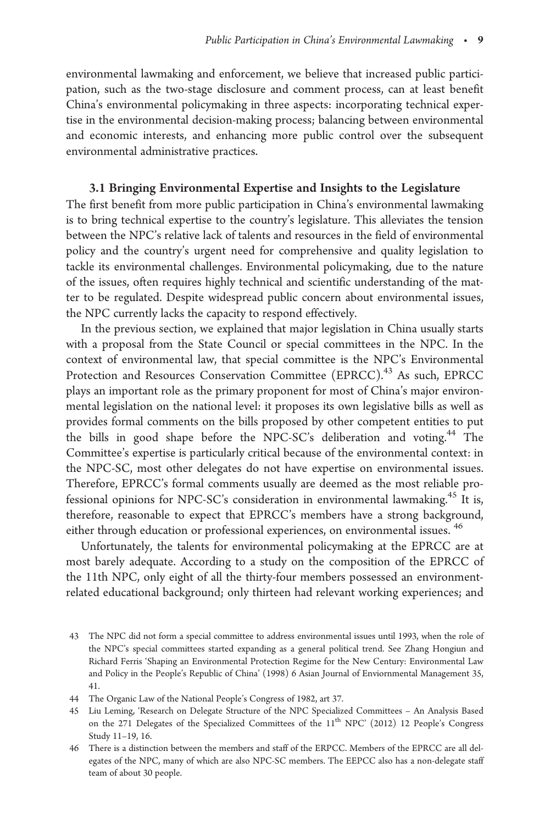environmental lawmaking and enforcement, we believe that increased public participation, such as the two-stage disclosure and comment process, can at least benefit China's environmental policymaking in three aspects: incorporating technical expertise in the environmental decision-making process; balancing between environmental and economic interests, and enhancing more public control over the subsequent environmental administrative practices.

#### 3.1 Bringing Environmental Expertise and Insights to the Legislature

The first benefit from more public participation in China's environmental lawmaking is to bring technical expertise to the country's legislature. This alleviates the tension between the NPC's relative lack of talents and resources in the field of environmental policy and the country's urgent need for comprehensive and quality legislation to tackle its environmental challenges. Environmental policymaking, due to the nature of the issues, often requires highly technical and scientific understanding of the matter to be regulated. Despite widespread public concern about environmental issues, the NPC currently lacks the capacity to respond effectively.

In the previous section, we explained that major legislation in China usually starts with a proposal from the State Council or special committees in the NPC. In the context of environmental law, that special committee is the NPC's Environmental Protection and Resources Conservation Committee (EPRCC).<sup>43</sup> As such, EPRCC plays an important role as the primary proponent for most of China's major environmental legislation on the national level: it proposes its own legislative bills as well as provides formal comments on the bills proposed by other competent entities to put the bills in good shape before the NPC-SC's deliberation and voting.<sup>44</sup> The Committee's expertise is particularly critical because of the environmental context: in the NPC-SC, most other delegates do not have expertise on environmental issues. Therefore, EPRCC's formal comments usually are deemed as the most reliable professional opinions for NPC-SC's consideration in environmental lawmaking.<sup>45</sup> It is, therefore, reasonable to expect that EPRCC's members have a strong background, either through education or professional experiences, on environmental issues. <sup>46</sup>

Unfortunately, the talents for environmental policymaking at the EPRCC are at most barely adequate. According to a study on the composition of the EPRCC of the 11th NPC, only eight of all the thirty-four members possessed an environmentrelated educational background; only thirteen had relevant working experiences; and

<sup>43</sup> The NPC did not form a special committee to address environmental issues until 1993, when the role of the NPC's special committees started expanding as a general political trend. See Zhang Hongiun and Richard Ferris 'Shaping an Environmental Protection Regime for the New Century: Environmental Law and Policy in the People's Republic of China' (1998) 6 Asian Journal of Enviornmental Management 35, 41.

<sup>44</sup> The Organic Law of the National People's Congress of 1982, art 37.

<sup>45</sup> Liu Leming, 'Research on Delegate Structure of the NPC Specialized Committees – An Analysis Based on the 271 Delegates of the Specialized Committees of the  $11<sup>th</sup>$  NPC' (2012) 12 People's Congress Study 11–19, 16.

<sup>46</sup> There is a distinction between the members and staff of the ERPCC. Members of the EPRCC are all delegates of the NPC, many of which are also NPC-SC members. The EEPCC also has a non-delegate staff team of about 30 people.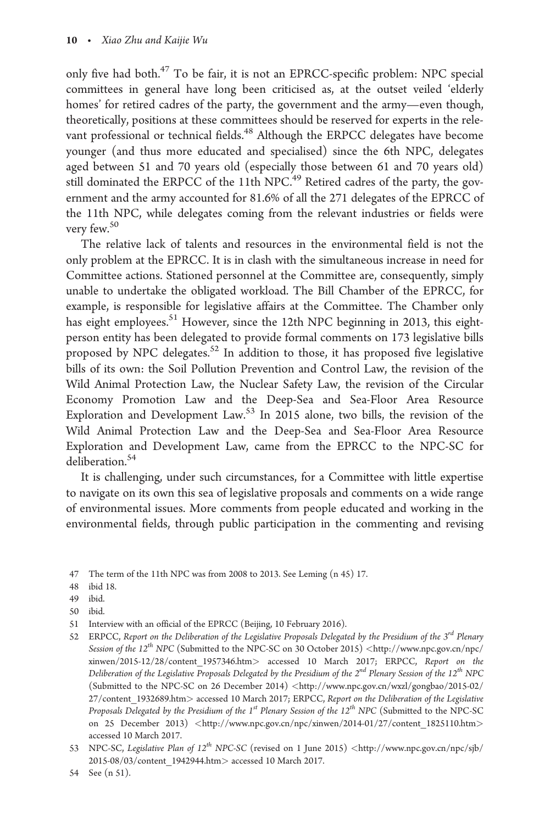only five had both.<sup>47</sup> To be fair, it is not an EPRCC-specific problem: NPC special committees in general have long been criticised as, at the outset veiled 'elderly homes' for retired cadres of the party, the government and the army—even though, theoretically, positions at these committees should be reserved for experts in the relevant professional or technical fields.<sup>48</sup> Although the ERPCC delegates have become younger (and thus more educated and specialised) since the 6th NPC, delegates aged between 51 and 70 years old (especially those between 61 and 70 years old) still dominated the ERPCC of the 11th NPC.<sup>49</sup> Retired cadres of the party, the government and the army accounted for 81.6% of all the 271 delegates of the EPRCC of the 11th NPC, while delegates coming from the relevant industries or fields were very few.<sup>50</sup>

The relative lack of talents and resources in the environmental field is not the only problem at the EPRCC. It is in clash with the simultaneous increase in need for Committee actions. Stationed personnel at the Committee are, consequently, simply unable to undertake the obligated workload. The Bill Chamber of the EPRCC, for example, is responsible for legislative affairs at the Committee. The Chamber only has eight employees.<sup>51</sup> However, since the 12th NPC beginning in 2013, this eightperson entity has been delegated to provide formal comments on 173 legislative bills proposed by NPC delegates.<sup>52</sup> In addition to those, it has proposed five legislative bills of its own: the Soil Pollution Prevention and Control Law, the revision of the Wild Animal Protection Law, the Nuclear Safety Law, the revision of the Circular Economy Promotion Law and the Deep-Sea and Sea-Floor Area Resource Exploration and Development Law.<sup>53</sup> In 2015 alone, two bills, the revision of the Wild Animal Protection Law and the Deep-Sea and Sea-Floor Area Resource Exploration and Development Law, came from the EPRCC to the NPC-SC for deliberation.<sup>54</sup>

It is challenging, under such circumstances, for a Committee with little expertise to navigate on its own this sea of legislative proposals and comments on a wide range of environmental issues. More comments from people educated and working in the environmental fields, through public participation in the commenting and revising

- 49 ibid.
- 50 ibid.
- 51 Interview with an official of the EPRCC (Beijing, 10 February 2016).
- 52 ERPCC, Report on the Deliberation of the Legislative Proposals Delegated by the Presidium of the  $3^{rd}$  Plenary Session of the 12<sup>th</sup> NPC (Submitted to the NPC-SC on 30 October 2015) <[http://www.npc.gov.cn/npc/](http://www.npc.gov.cn/npc/xinwen/2015-12/28/content_1957346.htm) [xinwen/2015-12/28/content\\_1957346.htm](http://www.npc.gov.cn/npc/xinwen/2015-12/28/content_1957346.htm)> accessed 10 March 2017; ERPCC, Report on the Deliberation of the Legislative Proposals Delegated by the Presidium of the  $2^{nd}$  Plenary Session of the 12<sup>th</sup> NPC (Submitted to the NPC-SC on 26 December 2014) <[http://www.npc.gov.cn/wxzl/gongbao/2015-02/](http://www.npc.gov.cn/wxzl/gongbao/2015-02/27/content_1932689.htm) [27/content\\_1932689.htm](http://www.npc.gov.cn/wxzl/gongbao/2015-02/27/content_1932689.htm)> accessed 10 March 2017; ERPCC, Report on the Deliberation of the Legislative Proposals Delegated by the Presidium of the  $1^{st}$  Plenary Session of the  $12^{th}$  NPC (Submitted to the NPC-SC on 25 December 2013) <[http://www.npc.gov.cn/npc/xinwen/2014-01/27/content\\_1825110.htm](http://www.npc.gov.cn/npc/xinwen/2014-01/27/content_1825110.htm)> accessed 10 March 2017.
- 53 NPC-SC, Legislative Plan of 12<sup>th</sup> NPC-SC (revised on 1 June 2015) <[http://www.npc.gov.cn/npc/sjb/](http://www.npc.gov.cn/npc/sjb/2015-08/03/content_1942944.htm) [2015-08/03/content\\_1942944.htm](http://www.npc.gov.cn/npc/sjb/2015-08/03/content_1942944.htm)> accessed 10 March 2017.

<sup>47</sup> The term of the 11th NPC was from 2008 to 2013. See Leming (n 45) 17.

<sup>48</sup> ibid 18.

<sup>54</sup> See (n 51).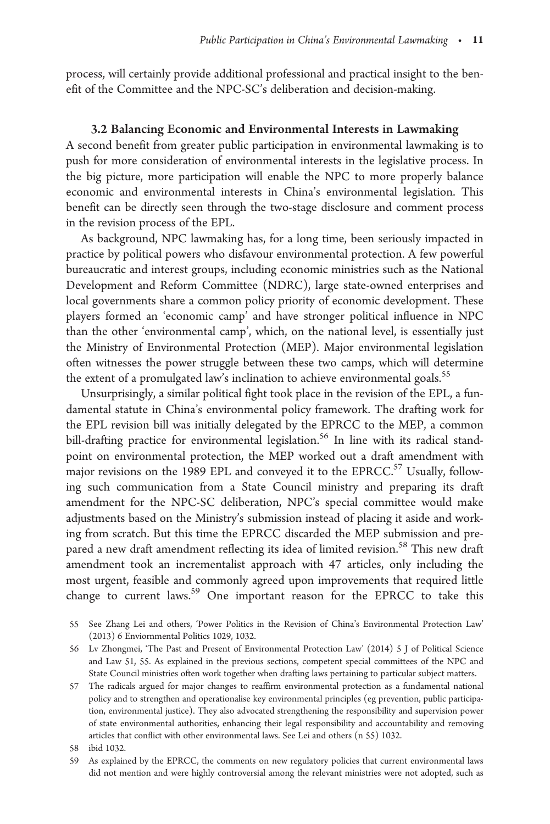process, will certainly provide additional professional and practical insight to the benefit of the Committee and the NPC-SC's deliberation and decision-making.

#### 3.2 Balancing Economic and Environmental Interests in Lawmaking

A second benefit from greater public participation in environmental lawmaking is to push for more consideration of environmental interests in the legislative process. In the big picture, more participation will enable the NPC to more properly balance economic and environmental interests in China's environmental legislation. This benefit can be directly seen through the two-stage disclosure and comment process in the revision process of the EPL.

As background, NPC lawmaking has, for a long time, been seriously impacted in practice by political powers who disfavour environmental protection. A few powerful bureaucratic and interest groups, including economic ministries such as the National Development and Reform Committee (NDRC), large state-owned enterprises and local governments share a common policy priority of economic development. These players formed an 'economic camp' and have stronger political influence in NPC than the other 'environmental camp', which, on the national level, is essentially just the Ministry of Environmental Protection (MEP). Major environmental legislation often witnesses the power struggle between these two camps, which will determine the extent of a promulgated law's inclination to achieve environmental goals.<sup>55</sup>

Unsurprisingly, a similar political fight took place in the revision of the EPL, a fundamental statute in China's environmental policy framework. The drafting work for the EPL revision bill was initially delegated by the EPRCC to the MEP, a common bill-drafting practice for environmental legislation.<sup>56</sup> In line with its radical standpoint on environmental protection, the MEP worked out a draft amendment with major revisions on the 1989 EPL and conveyed it to the EPRCC.<sup>57</sup> Usually, following such communication from a State Council ministry and preparing its draft amendment for the NPC-SC deliberation, NPC's special committee would make adjustments based on the Ministry's submission instead of placing it aside and working from scratch. But this time the EPRCC discarded the MEP submission and prepared a new draft amendment reflecting its idea of limited revision.<sup>58</sup> This new draft amendment took an incrementalist approach with 47 articles, only including the most urgent, feasible and commonly agreed upon improvements that required little change to current laws.<sup>59</sup> One important reason for the EPRCC to take this

- 55 See Zhang Lei and others, 'Power Politics in the Revision of China's Environmental Protection Law' (2013) 6 Enviornmental Politics 1029, 1032.
- 56 Lv Zhongmei, 'The Past and Present of Environmental Protection Law' (2014) 5 J of Political Science and Law 51, 55. As explained in the previous sections, competent special committees of the NPC and State Council ministries often work together when drafting laws pertaining to particular subject matters.
- 57 The radicals argued for major changes to reaffirm environmental protection as a fundamental national policy and to strengthen and operationalise key environmental principles (eg prevention, public participation, environmental justice). They also advocated strengthening the responsibility and supervision power of state environmental authorities, enhancing their legal responsibility and accountability and removing articles that conflict with other environmental laws. See Lei and others (n 55) 1032.

59 As explained by the EPRCC, the comments on new regulatory policies that current environmental laws did not mention and were highly controversial among the relevant ministries were not adopted, such as

<sup>58</sup> ibid 1032.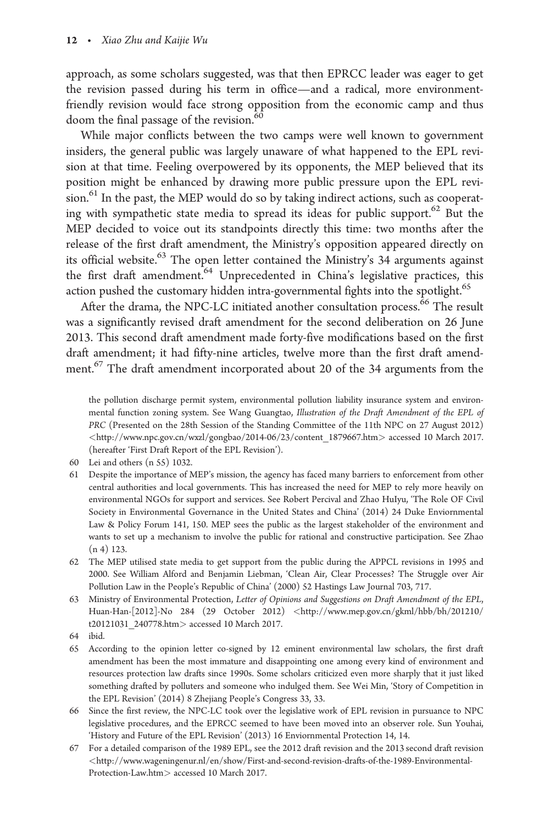approach, as some scholars suggested, was that then EPRCC leader was eager to get the revision passed during his term in office—and a radical, more environmentfriendly revision would face strong opposition from the economic camp and thus doom the final passage of the revision.<sup>60</sup>

While major conflicts between the two camps were well known to government insiders, the general public was largely unaware of what happened to the EPL revision at that time. Feeling overpowered by its opponents, the MEP believed that its position might be enhanced by drawing more public pressure upon the EPL revision.<sup>61</sup> In the past, the MEP would do so by taking indirect actions, such as cooperating with sympathetic state media to spread its ideas for public support.<sup>62</sup> But the MEP decided to voice out its standpoints directly this time: two months after the release of the first draft amendment, the Ministry's opposition appeared directly on its official website.<sup>63</sup> The open letter contained the Ministry's 34 arguments against the first draft amendment.<sup>64</sup> Unprecedented in China's legislative practices, this action pushed the customary hidden intra-governmental fights into the spotlight.<sup>65</sup>

After the drama, the NPC-LC initiated another consultation process.<sup>66</sup> The result was a significantly revised draft amendment for the second deliberation on 26 June 2013. This second draft amendment made forty-five modifications based on the first draft amendment; it had fifty-nine articles, twelve more than the first draft amendment.<sup>67</sup> The draft amendment incorporated about 20 of the 34 arguments from the

the pollution discharge permit system, environmental pollution liability insurance system and environmental function zoning system. See Wang Guangtao, Illustration of the Draft Amendment of the EPL of PRC (Presented on the 28th Session of the Standing Committee of the 11th NPC on 27 August 2012) <[http://www.npc.gov.cn/wxzl/gongbao/2014-06/23/content\\_1879667.htm](http://www.npc.gov.cn/wxzl/gongbao/2014-06/23/content_1879667.htm)> accessed 10 March 2017. (hereafter 'First Draft Report of the EPL Revision').

- 60 Lei and others (n 55) 1032.
- 61 Despite the importance of MEP's mission, the agency has faced many barriers to enforcement from other central authorities and local governments. This has increased the need for MEP to rely more heavily on environmental NGOs for support and services. See Robert Percival and Zhao HuIyu, 'The Role OF Civil Society in Environmental Governance in the United States and China' (2014) 24 Duke Enviornmental Law & Policy Forum 141, 150. MEP sees the public as the largest stakeholder of the environment and wants to set up a mechanism to involve the public for rational and constructive participation. See Zhao  $(n 4)$  123.
- 62 The MEP utilised state media to get support from the public during the APPCL revisions in 1995 and 2000. See William Alford and Benjamin Liebman, 'Clean Air, Clear Processes? The Struggle over Air Pollution Law in the People's Republic of China' (2000) 52 Hastings Law Journal 703, 717.
- 63 Ministry of Environmental Protection, Letter of Opinions and Suggestions on Draft Amendment of the EPL, Huan-Han-[2012]-No 284 (29 October 2012) <[http://www.mep.gov.cn/gkml/hbb/bh/201210/](http://www.mep.gov.cn/gkml/hbb/bh/201210/t20121031_240778.htm) [t20121031\\_240778.htm](http://www.mep.gov.cn/gkml/hbb/bh/201210/t20121031_240778.htm)> accessed 10 March 2017.
- 64 ibid.
- 65 According to the opinion letter co-signed by 12 eminent environmental law scholars, the first draft amendment has been the most immature and disappointing one among every kind of environment and resources protection law drafts since 1990s. Some scholars criticized even more sharply that it just liked something drafted by polluters and someone who indulged them. See Wei Min, 'Story of Competition in the EPL Revision' (2014) 8 Zhejiang People's Congress 33, 33.
- 66 Since the first review, the NPC-LC took over the legislative work of EPL revision in pursuance to NPC legislative procedures, and the EPRCC seemed to have been moved into an observer role. Sun Youhai, 'History and Future of the EPL Revision' (2013) 16 Enviornmental Protection 14, 14.
- 67 For a detailed comparison of the 1989 EPL, see the 2012 draft revision and the 2013 second draft revision <[http://www.wageningenur.nl/en/show/First-and-second-revision-drafts-of-the-1989-Environmental-](http://www.wageningenur.nl/en/show/First-and-second-revision-drafts-of-the-1989-Environmental-Protection-Law.htm)[Protection-Law.htm](http://www.wageningenur.nl/en/show/First-and-second-revision-drafts-of-the-1989-Environmental-Protection-Law.htm)> accessed 10 March 2017.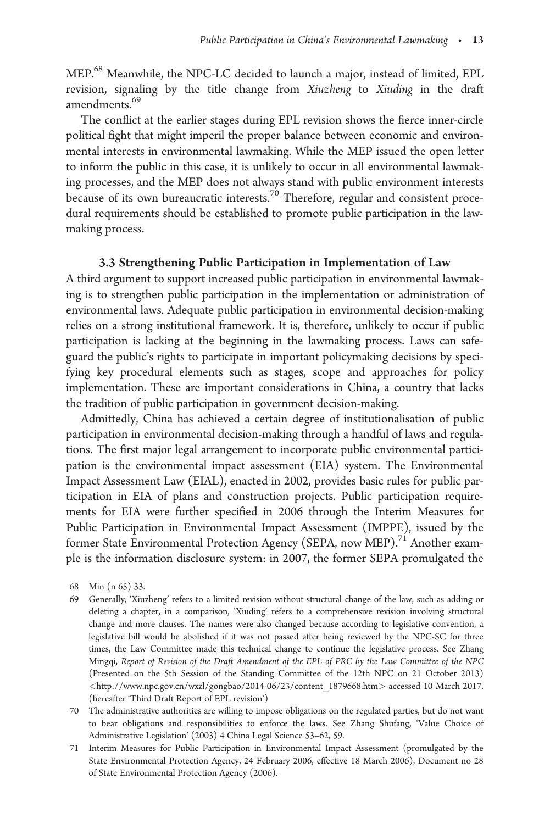MEP.68 Meanwhile, the NPC-LC decided to launch a major, instead of limited, EPL revision, signaling by the title change from Xiuzheng to Xiuding in the draft amendments.<sup>69</sup>

The conflict at the earlier stages during EPL revision shows the fierce inner-circle political fight that might imperil the proper balance between economic and environmental interests in environmental lawmaking. While the MEP issued the open letter to inform the public in this case, it is unlikely to occur in all environmental lawmaking processes, and the MEP does not always stand with public environment interests because of its own bureaucratic interests.<sup>70</sup> Therefore, regular and consistent procedural requirements should be established to promote public participation in the lawmaking process.

# 3.3 Strengthening Public Participation in Implementation of Law

A third argument to support increased public participation in environmental lawmaking is to strengthen public participation in the implementation or administration of environmental laws. Adequate public participation in environmental decision-making relies on a strong institutional framework. It is, therefore, unlikely to occur if public participation is lacking at the beginning in the lawmaking process. Laws can safeguard the public's rights to participate in important policymaking decisions by specifying key procedural elements such as stages, scope and approaches for policy implementation. These are important considerations in China, a country that lacks the tradition of public participation in government decision-making.

Admittedly, China has achieved a certain degree of institutionalisation of public participation in environmental decision-making through a handful of laws and regulations. The first major legal arrangement to incorporate public environmental participation is the environmental impact assessment (EIA) system. The Environmental Impact Assessment Law (EIAL), enacted in 2002, provides basic rules for public participation in EIA of plans and construction projects. Public participation requirements for EIA were further specified in 2006 through the Interim Measures for Public Participation in Environmental Impact Assessment (IMPPE), issued by the former State Environmental Protection Agency (SEPA, now MEP).<sup>71</sup> Another example is the information disclosure system: in 2007, the former SEPA promulgated the

- 69 Generally, 'Xiuzheng' refers to a limited revision without structural change of the law, such as adding or deleting a chapter, in a comparison, 'Xiuding' refers to a comprehensive revision involving structural change and more clauses. The names were also changed because according to legislative convention, a legislative bill would be abolished if it was not passed after being reviewed by the NPC-SC for three times, the Law Committee made this technical change to continue the legislative process. See Zhang Mingqi, Report of Revision of the Draft Amendment of the EPL of PRC by the Law Committee of the NPC (Presented on the 5th Session of the Standing Committee of the 12th NPC on 21 October 2013) <[http://www.npc.gov.cn/wxzl/gongbao/2014-06/23/content\\_1879668.htm](http://www.npc.gov.cn/wxzl/gongbao/2014-06/23/content_1879668.htm)> accessed 10 March 2017. (hereafter 'Third Draft Report of EPL revision')
- 70 The administrative authorities are willing to impose obligations on the regulated parties, but do not want to bear obligations and responsibilities to enforce the laws. See Zhang Shufang, 'Value Choice of Administrative Legislation' (2003) 4 China Legal Science 53–62, 59.
- 71 Interim Measures for Public Participation in Environmental Impact Assessment (promulgated by the State Environmental Protection Agency, 24 February 2006, effective 18 March 2006), Document no 28 of State Environmental Protection Agency (2006).

<sup>68</sup> Min (n 65) 33.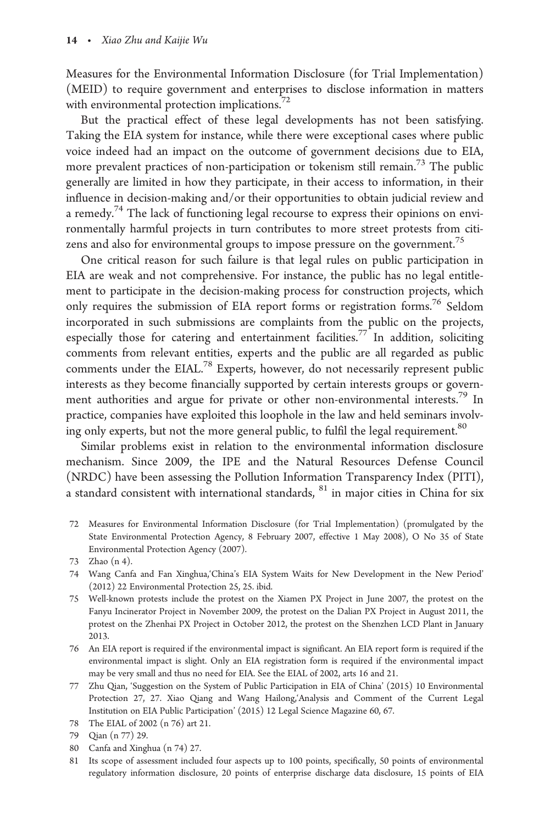Measures for the Environmental Information Disclosure (for Trial Implementation) (MEID) to require government and enterprises to disclose information in matters with environmental protection implications. $72$ 

But the practical effect of these legal developments has not been satisfying. Taking the EIA system for instance, while there were exceptional cases where public voice indeed had an impact on the outcome of government decisions due to EIA, more prevalent practices of non-participation or tokenism still remain.73 The public generally are limited in how they participate, in their access to information, in their influence in decision-making and/or their opportunities to obtain judicial review and a remedy.<sup>74</sup> The lack of functioning legal recourse to express their opinions on environmentally harmful projects in turn contributes to more street protests from citizens and also for environmental groups to impose pressure on the government.<sup>75</sup>

One critical reason for such failure is that legal rules on public participation in EIA are weak and not comprehensive. For instance, the public has no legal entitlement to participate in the decision-making process for construction projects, which only requires the submission of EIA report forms or registration forms.<sup>76</sup> Seldom incorporated in such submissions are complaints from the public on the projects, especially those for catering and entertainment facilities.<sup>77</sup> In addition, soliciting comments from relevant entities, experts and the public are all regarded as public comments under the EIAL.<sup>78</sup> Experts, however, do not necessarily represent public interests as they become financially supported by certain interests groups or government authorities and argue for private or other non-environmental interests.79 In practice, companies have exploited this loophole in the law and held seminars involving only experts, but not the more general public, to fulfil the legal requirement.<sup>80</sup>

Similar problems exist in relation to the environmental information disclosure mechanism. Since 2009, the IPE and the Natural Resources Defense Council (NRDC) have been assessing the Pollution Information Transparency Index (PITI), a standard consistent with international standards,  $81$  in major cities in China for six

72 Measures for Environmental Information Disclosure (for Trial Implementation) (promulgated by the State Environmental Protection Agency, 8 February 2007, effective 1 May 2008), O No 35 of State Environmental Protection Agency (2007).

- 74 Wang Canfa and Fan Xinghua,'China's EIA System Waits for New Development in the New Period' (2012) 22 Environmental Protection 25, 25. ibid.
- 75 Well-known protests include the protest on the Xiamen PX Project in June 2007, the protest on the Fanyu Incinerator Project in November 2009, the protest on the Dalian PX Project in August 2011, the protest on the Zhenhai PX Project in October 2012, the protest on the Shenzhen LCD Plant in January 2013.
- 76 An EIA report is required if the environmental impact is significant. An EIA report form is required if the environmental impact is slight. Only an EIA registration form is required if the environmental impact may be very small and thus no need for EIA. See the EIAL of 2002, arts 16 and 21.
- 77 Zhu Qian, 'Suggestion on the System of Public Participation in EIA of China' (2015) 10 Environmental Protection 27, 27. Xiao Qiang and Wang Hailong,'Analysis and Comment of the Current Legal Institution on EIA Public Participation' (2015) 12 Legal Science Magazine 60, 67.
- 78 The EIAL of 2002 (n 76) art 21.
- 79 Qian (n 77) 29.
- 80 Canfa and Xinghua (n 74) 27.
- 81 Its scope of assessment included four aspects up to 100 points, specifically, 50 points of environmental regulatory information disclosure, 20 points of enterprise discharge data disclosure, 15 points of EIA

<sup>73</sup> Zhao (n 4).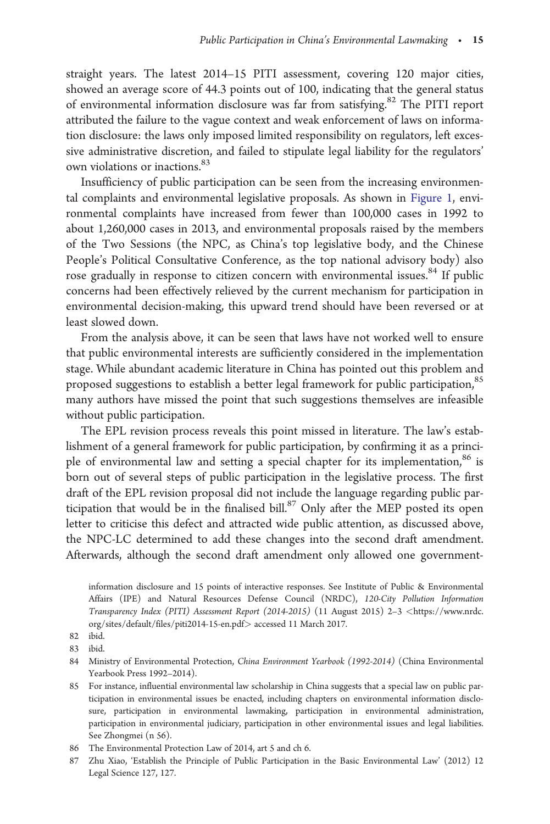straight years. The latest 2014–15 PITI assessment, covering 120 major cities, showed an average score of 44.3 points out of 100, indicating that the general status of environmental information disclosure was far from satisfying.<sup>82</sup> The PITI report attributed the failure to the vague context and weak enforcement of laws on information disclosure: the laws only imposed limited responsibility on regulators, left excessive administrative discretion, and failed to stipulate legal liability for the regulators' own violations or inactions.<sup>83</sup>

Insufficiency of public participation can be seen from the increasing environmental complaints and environmental legislative proposals. As shown in [Figure 1](#page-15-0), environmental complaints have increased from fewer than 100,000 cases in 1992 to about 1,260,000 cases in 2013, and environmental proposals raised by the members of the Two Sessions (the NPC, as China's top legislative body, and the Chinese People's Political Consultative Conference, as the top national advisory body) also rose gradually in response to citizen concern with environmental issues.<sup>84</sup> If public concerns had been effectively relieved by the current mechanism for participation in environmental decision-making, this upward trend should have been reversed or at least slowed down.

From the analysis above, it can be seen that laws have not worked well to ensure that public environmental interests are sufficiently considered in the implementation stage. While abundant academic literature in China has pointed out this problem and proposed suggestions to establish a better legal framework for public participation, 85 many authors have missed the point that such suggestions themselves are infeasible without public participation.

The EPL revision process reveals this point missed in literature. The law's establishment of a general framework for public participation, by confirming it as a principle of environmental law and setting a special chapter for its implementation,  $86$  is born out of several steps of public participation in the legislative process. The first draft of the EPL revision proposal did not include the language regarding public participation that would be in the finalised bill.<sup>87</sup> Only after the MEP posted its open letter to criticise this defect and attracted wide public attention, as discussed above, the NPC-LC determined to add these changes into the second draft amendment. Afterwards, although the second draft amendment only allowed one government-

- 84 Ministry of Environmental Protection, China Environment Yearbook (1992-2014) (China Environmental Yearbook Press 1992–2014).
- 85 For instance, influential environmental law scholarship in China suggests that a special law on public participation in environmental issues be enacted, including chapters on environmental information disclosure, participation in environmental lawmaking, participation in environmental administration, participation in environmental judiciary, participation in other environmental issues and legal liabilities. See Zhongmei (n 56).
- 86 The Environmental Protection Law of 2014, art 5 and ch 6.
- 87 Zhu Xiao, 'Establish the Principle of Public Participation in the Basic Environmental Law' (2012) 12 Legal Science 127, 127.

information disclosure and 15 points of interactive responses. See Institute of Public & Environmental Affairs (IPE) and Natural Resources Defense Council (NRDC), 120-City Pollution Information Transparency Index (PITI) Assessment Report (2014-2015) (11 August 2015) 2–3 <[https://www.nrdc.](https://www.nrdc.org/sites/default/files/piti2014-15-en.pdf) [org/sites/default/files/piti2014-15-en.pdf](https://www.nrdc.org/sites/default/files/piti2014-15-en.pdf)> accessed 11 March 2017.

<sup>82</sup> ibid.

<sup>83</sup> ibid.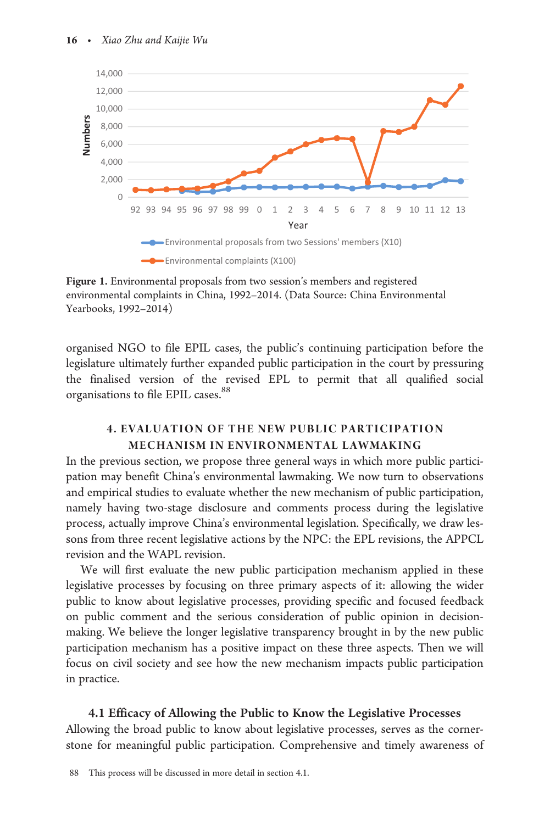<span id="page-15-0"></span>

Figure 1. Environmental proposals from two session's members and registered environmental complaints in China, 1992–2014. (Data Source: China Environmental Yearbooks, 1992–2014)

organised NGO to file EPIL cases, the public's continuing participation before the legislature ultimately further expanded public participation in the court by pressuring the finalised version of the revised EPL to permit that all qualified social organisations to file EPIL cases.<sup>88</sup>

# 4. EVALUATION OF THE NEW PUBLIC PARTICIPATION MECHANISM IN ENVIRONMENTAL LAWMAKING

In the previous section, we propose three general ways in which more public participation may benefit China's environmental lawmaking. We now turn to observations and empirical studies to evaluate whether the new mechanism of public participation, namely having two-stage disclosure and comments process during the legislative process, actually improve China's environmental legislation. Specifically, we draw lessons from three recent legislative actions by the NPC: the EPL revisions, the APPCL revision and the WAPL revision.

We will first evaluate the new public participation mechanism applied in these legislative processes by focusing on three primary aspects of it: allowing the wider public to know about legislative processes, providing specific and focused feedback on public comment and the serious consideration of public opinion in decisionmaking. We believe the longer legislative transparency brought in by the new public participation mechanism has a positive impact on these three aspects. Then we will focus on civil society and see how the new mechanism impacts public participation in practice.

## 4.1 Efficacy of Allowing the Public to Know the Legislative Processes

Allowing the broad public to know about legislative processes, serves as the cornerstone for meaningful public participation. Comprehensive and timely awareness of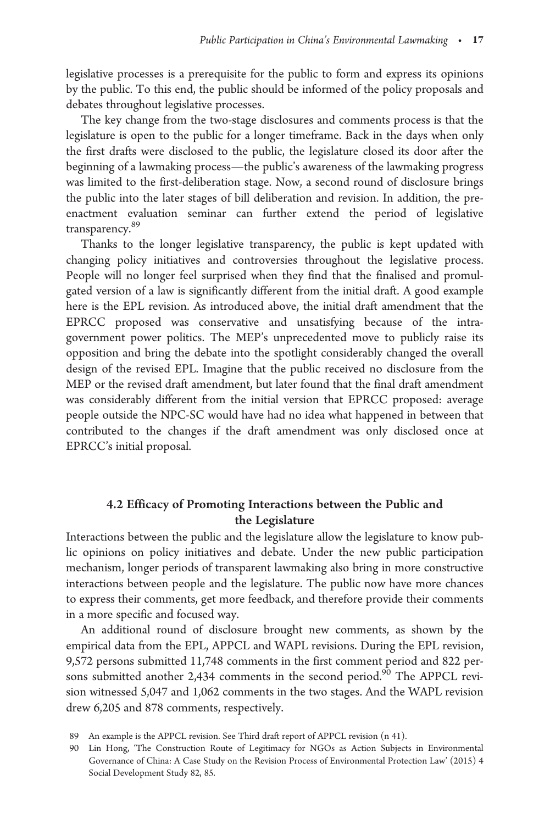legislative processes is a prerequisite for the public to form and express its opinions by the public. To this end, the public should be informed of the policy proposals and debates throughout legislative processes.

The key change from the two-stage disclosures and comments process is that the legislature is open to the public for a longer timeframe. Back in the days when only the first drafts were disclosed to the public, the legislature closed its door after the beginning of a lawmaking process—the public's awareness of the lawmaking progress was limited to the first-deliberation stage. Now, a second round of disclosure brings the public into the later stages of bill deliberation and revision. In addition, the preenactment evaluation seminar can further extend the period of legislative transparency.<sup>89</sup>

Thanks to the longer legislative transparency, the public is kept updated with changing policy initiatives and controversies throughout the legislative process. People will no longer feel surprised when they find that the finalised and promulgated version of a law is significantly different from the initial draft. A good example here is the EPL revision. As introduced above, the initial draft amendment that the EPRCC proposed was conservative and unsatisfying because of the intragovernment power politics. The MEP's unprecedented move to publicly raise its opposition and bring the debate into the spotlight considerably changed the overall design of the revised EPL. Imagine that the public received no disclosure from the MEP or the revised draft amendment, but later found that the final draft amendment was considerably different from the initial version that EPRCC proposed: average people outside the NPC-SC would have had no idea what happened in between that contributed to the changes if the draft amendment was only disclosed once at EPRCC's initial proposal.

# 4.2 Efficacy of Promoting Interactions between the Public and the Legislature

Interactions between the public and the legislature allow the legislature to know public opinions on policy initiatives and debate. Under the new public participation mechanism, longer periods of transparent lawmaking also bring in more constructive interactions between people and the legislature. The public now have more chances to express their comments, get more feedback, and therefore provide their comments in a more specific and focused way.

An additional round of disclosure brought new comments, as shown by the empirical data from the EPL, APPCL and WAPL revisions. During the EPL revision, 9,572 persons submitted 11,748 comments in the first comment period and 822 persons submitted another 2,434 comments in the second period. $90$  The APPCL revision witnessed 5,047 and 1,062 comments in the two stages. And the WAPL revision drew 6,205 and 878 comments, respectively.

<sup>89</sup> An example is the APPCL revision. See Third draft report of APPCL revision (n 41).

<sup>90</sup> Lin Hong, 'The Construction Route of Legitimacy for NGOs as Action Subjects in Environmental Governance of China: A Case Study on the Revision Process of Environmental Protection Law' (2015) 4 Social Development Study 82, 85.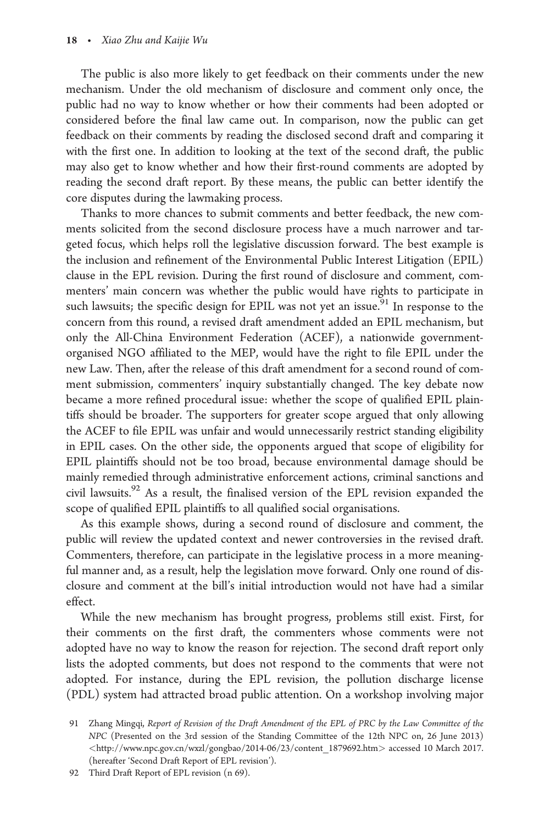The public is also more likely to get feedback on their comments under the new mechanism. Under the old mechanism of disclosure and comment only once, the public had no way to know whether or how their comments had been adopted or considered before the final law came out. In comparison, now the public can get feedback on their comments by reading the disclosed second draft and comparing it with the first one. In addition to looking at the text of the second draft, the public may also get to know whether and how their first-round comments are adopted by reading the second draft report. By these means, the public can better identify the core disputes during the lawmaking process.

Thanks to more chances to submit comments and better feedback, the new comments solicited from the second disclosure process have a much narrower and targeted focus, which helps roll the legislative discussion forward. The best example is the inclusion and refinement of the Environmental Public Interest Litigation (EPIL) clause in the EPL revision. During the first round of disclosure and comment, commenters' main concern was whether the public would have rights to participate in such lawsuits; the specific design for EPIL was not yet an issue.<sup>91</sup> In response to the concern from this round, a revised draft amendment added an EPIL mechanism, but only the All-China Environment Federation (ACEF), a nationwide governmentorganised NGO affiliated to the MEP, would have the right to file EPIL under the new Law. Then, after the release of this draft amendment for a second round of comment submission, commenters' inquiry substantially changed. The key debate now became a more refined procedural issue: whether the scope of qualified EPIL plaintiffs should be broader. The supporters for greater scope argued that only allowing the ACEF to file EPIL was unfair and would unnecessarily restrict standing eligibility in EPIL cases. On the other side, the opponents argued that scope of eligibility for EPIL plaintiffs should not be too broad, because environmental damage should be mainly remedied through administrative enforcement actions, criminal sanctions and civil lawsuits.92 As a result, the finalised version of the EPL revision expanded the scope of qualified EPIL plaintiffs to all qualified social organisations.

As this example shows, during a second round of disclosure and comment, the public will review the updated context and newer controversies in the revised draft. Commenters, therefore, can participate in the legislative process in a more meaningful manner and, as a result, help the legislation move forward. Only one round of disclosure and comment at the bill's initial introduction would not have had a similar effect.

While the new mechanism has brought progress, problems still exist. First, for their comments on the first draft, the commenters whose comments were not adopted have no way to know the reason for rejection. The second draft report only lists the adopted comments, but does not respond to the comments that were not adopted. For instance, during the EPL revision, the pollution discharge license (PDL) system had attracted broad public attention. On a workshop involving major

<sup>91</sup> Zhang Mingqi, Report of Revision of the Draft Amendment of the EPL of PRC by the Law Committee of the NPC (Presented on the 3rd session of the Standing Committee of the 12th NPC on, 26 June 2013) <[http://www.npc.gov.cn/wxzl/gongbao/2014-06/23/content\\_1879692.htm](http://www.npc.gov.cn/wxzl/gongbao/2014-06/23/content_1879692.htm)> accessed 10 March 2017. (hereafter 'Second Draft Report of EPL revision').

<sup>92</sup> Third Draft Report of EPL revision (n 69).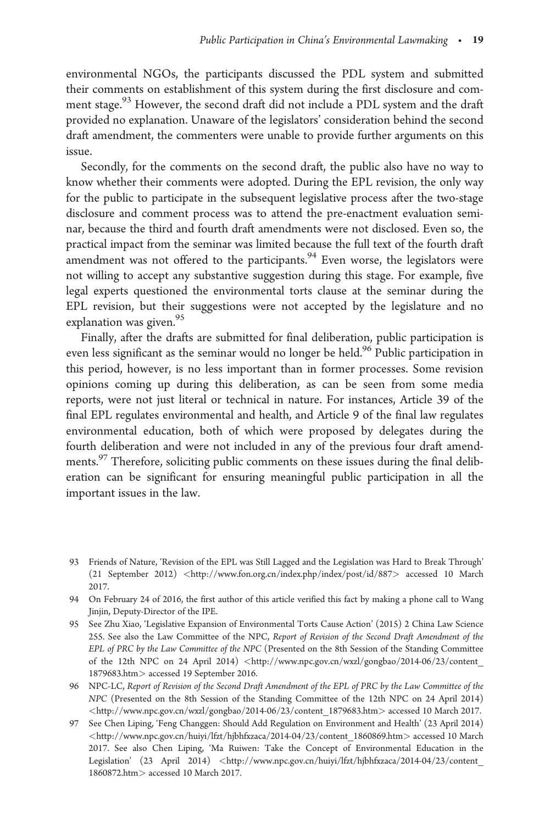environmental NGOs, the participants discussed the PDL system and submitted their comments on establishment of this system during the first disclosure and comment stage.<sup>93</sup> However, the second draft did not include a PDL system and the draft provided no explanation. Unaware of the legislators' consideration behind the second draft amendment, the commenters were unable to provide further arguments on this issue.

Secondly, for the comments on the second draft, the public also have no way to know whether their comments were adopted. During the EPL revision, the only way for the public to participate in the subsequent legislative process after the two-stage disclosure and comment process was to attend the pre-enactment evaluation seminar, because the third and fourth draft amendments were not disclosed. Even so, the practical impact from the seminar was limited because the full text of the fourth draft amendment was not offered to the participants.<sup>94</sup> Even worse, the legislators were not willing to accept any substantive suggestion during this stage. For example, five legal experts questioned the environmental torts clause at the seminar during the EPL revision, but their suggestions were not accepted by the legislature and no explanation was given. $^{95}$ 

Finally, after the drafts are submitted for final deliberation, public participation is even less significant as the seminar would no longer be held.<sup>96</sup> Public participation in this period, however, is no less important than in former processes. Some revision opinions coming up during this deliberation, as can be seen from some media reports, were not just literal or technical in nature. For instances, Article 39 of the final EPL regulates environmental and health, and Article 9 of the final law regulates environmental education, both of which were proposed by delegates during the fourth deliberation and were not included in any of the previous four draft amendments.<sup>97</sup> Therefore, soliciting public comments on these issues during the final deliberation can be significant for ensuring meaningful public participation in all the important issues in the law.

<sup>93</sup> Friends of Nature, 'Revision of the EPL was Still Lagged and the Legislation was Hard to Break Through' (21 September 2012) <<http://www.fon.org.cn/index.php/index/post/id/887>> accessed 10 March 2017.

<sup>94</sup> On February 24 of 2016, the first author of this article verified this fact by making a phone call to Wang Jinjin, Deputy-Director of the IPE.

<sup>95</sup> See Zhu Xiao, 'Legislative Expansion of Environmental Torts Cause Action' (2015) 2 China Law Science 255. See also the Law Committee of the NPC, Report of Revision of the Second Draft Amendment of the EPL of PRC by the Law Committee of the NPC (Presented on the 8th Session of the Standing Committee of the 12th NPC on 24 April 2014) <http://www.npc.gov.cn/wxzl/gongbao/2014-06/23/content [1879683.htm](http://www.npc.gov.cn/wxzl/gongbao/2014-06/23/content_1879683.htm)> accessed 19 September 2016.

<sup>96</sup> NPC-LC, Report of Revision of the Second Draft Amendment of the EPL of PRC by the Law Committee of the NPC (Presented on the 8th Session of the Standing Committee of the 12th NPC on 24 April 2014) <[http://www.npc.gov.cn/wxzl/gongbao/2014-06/23/content\\_1879683.htm](http://www.npc.gov.cn/wxzl/gongbao/2014-06/23/content_1879683.htm)> accessed 10 March 2017.

<sup>97</sup> See Chen Liping, 'Feng Changgen: Should Add Regulation on Environment and Health' (23 April 2014) <[http://www.npc.gov.cn/huiyi/lfzt/hjbhfxzaca/2014-04/23/content\\_1860869.htm](http://www.npc.gov.cn/huiyi/lfzt/hjbhfxzaca/2014-04/23/content_1860869.htm)> accessed 10 March 2017. See also Chen Liping, 'Ma Ruiwen: Take the Concept of Environmental Education in the Legislation' (23 April 2014) <http://www.npc.gov.cn/huiyi/lfzt/hjbhfxzaca/2014-04/23/content [1860872.htm](http://www.npc.gov.cn/huiyi/lfzt/hjbhfxzaca/2014-04/23/content_1860872.htm)> accessed 10 March 2017.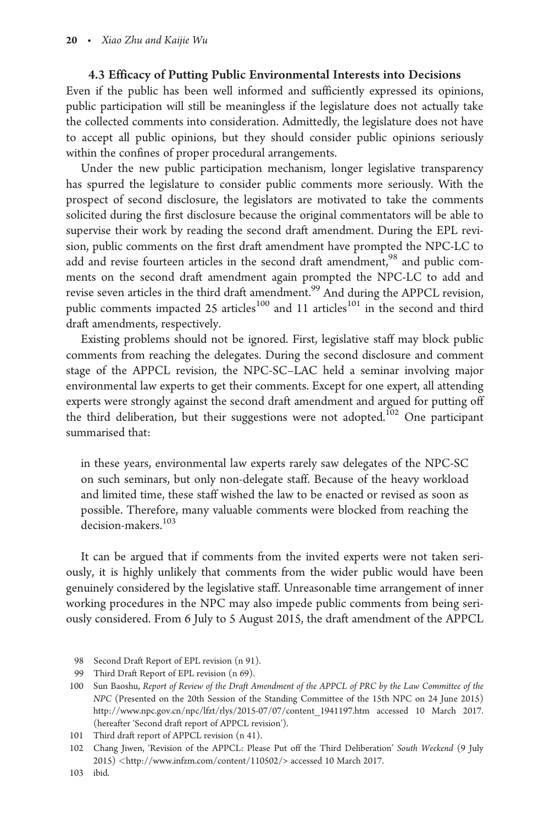## 4.3 Efficacy of Putting Public Environmental Interests into Decisions

Even if the public has been well informed and sufficiently expressed its opinions, public participation will still be meaningless if the legislature does not actually take the collected comments into consideration. Admittedly, the legislature does not have to accept all public opinions, but they should consider public opinions seriously within the confines of proper procedural arrangements.

Under the new public participation mechanism, longer legislative transparency has spurred the legislature to consider public comments more seriously. With the prospect of second disclosure, the legislators are motivated to take the comments solicited during the first disclosure because the original commentators will be able to supervise their work by reading the second draft amendment. During the EPL revision, public comments on the first draft amendment have prompted the NPC-LC to add and revise fourteen articles in the second draft amendment,<sup>98</sup> and public comments on the second draft amendment again prompted the NPC-LC to add and revise seven articles in the third draft amendment.<sup>99</sup> And during the APPCL revision, public comments impacted 25 articles<sup>100</sup> and 11 articles<sup>101</sup> in the second and third draft amendments, respectively.

Existing problems should not be ignored. First, legislative staff may block public comments from reaching the delegates. During the second disclosure and comment stage of the APPCL revision, the NPC-SC–LAC held a seminar involving major environmental law experts to get their comments. Except for one expert, all attending experts were strongly against the second draft amendment and argued for putting off the third deliberation, but their suggestions were not adopted.<sup>102</sup> One participant summarised that:

in these years, environmental law experts rarely saw delegates of the NPC-SC on such seminars, but only non-delegate staff. Because of the heavy workload and limited time, these staff wished the law to be enacted or revised as soon as possible. Therefore, many valuable comments were blocked from reaching the decision-makers.<sup>103</sup>

It can be argued that if comments from the invited experts were not taken seriously, it is highly unlikely that comments from the wider public would have been genuinely considered by the legislative staff. Unreasonable time arrangement of inner working procedures in the NPC may also impede public comments from being seriously considered. From 6 July to 5 August 2015, the draft amendment of the APPCL

<sup>98</sup> Second Draft Report of EPL revision (n 91).

<sup>99</sup> Third Draft Report of EPL revision (n 69).

<sup>100</sup> Sun Baoshu, Report of Review of the Draft Amendment of the APPCL of PRC by the Law Committee of the NPC (Presented on the 20th Session of the Standing Committee of the 15th NPC on 24 June 2015) [http://www.npc.gov.cn/npc/lfzt/rlys/2015-07/07/content\\_1941197.htm](http://www.npc.gov.cn/npc/lfzt/rlys/2015-07/07/content_1941197.htm) accessed 10 March 2017. (hereafter 'Second draft report of APPCL revision').

<sup>101</sup> Third draft report of APPCL revision (n 41).

<sup>102</sup> Chang Jiwen, 'Revision of the APPCL: Please Put off the Third Deliberation' South Weekend (9 July 2015) <<http://www.infzm.com/content/110502/>> accessed 10 March 2017.

<sup>103</sup> ibid.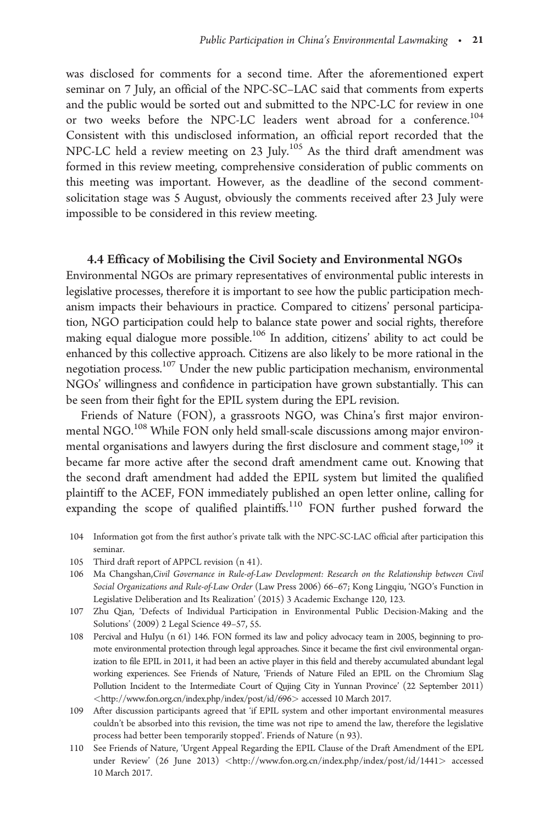was disclosed for comments for a second time. After the aforementioned expert seminar on 7 July, an official of the NPC-SC–LAC said that comments from experts and the public would be sorted out and submitted to the NPC-LC for review in one or two weeks before the NPC-LC leaders went abroad for a conference.<sup>104</sup> Consistent with this undisclosed information, an official report recorded that the NPC-LC held a review meeting on 23 July.<sup>105</sup> As the third draft amendment was formed in this review meeting, comprehensive consideration of public comments on this meeting was important. However, as the deadline of the second commentsolicitation stage was 5 August, obviously the comments received after 23 July were impossible to be considered in this review meeting.

### 4.4 Efficacy of Mobilising the Civil Society and Environmental NGOs

Environmental NGOs are primary representatives of environmental public interests in legislative processes, therefore it is important to see how the public participation mechanism impacts their behaviours in practice. Compared to citizens' personal participation, NGO participation could help to balance state power and social rights, therefore making equal dialogue more possible.<sup>106</sup> In addition, citizens' ability to act could be enhanced by this collective approach. Citizens are also likely to be more rational in the negotiation process.107 Under the new public participation mechanism, environmental NGOs' willingness and confidence in participation have grown substantially. This can be seen from their fight for the EPIL system during the EPL revision.

Friends of Nature (FON), a grassroots NGO, was China's first major environmental NGO.<sup>108</sup> While FON only held small-scale discussions among major environmental organisations and lawyers during the first disclosure and comment stage,  $^{109}$  it became far more active after the second draft amendment came out. Knowing that the second draft amendment had added the EPIL system but limited the qualified plaintiff to the ACEF, FON immediately published an open letter online, calling for expanding the scope of qualified plaintiffs.<sup>110</sup> FON further pushed forward the

- 104 Information got from the first author's private talk with the NPC-SC-LAC official after participation this seminar.
- 105 Third draft report of APPCL revision (n 41).
- 106 Ma Changshan,Civil Governance in Rule-of-Law Development: Research on the Relationship between Civil Social Organizations and Rule-of-Law Order (Law Press 2006) 66–67; Kong Lingqiu, 'NGO's Function in Legislative Deliberation and Its Realization' (2015) 3 Academic Exchange 120, 123.
- 107 Zhu Qian, 'Defects of Individual Participation in Environmental Public Decision-Making and the Solutions' (2009) 2 Legal Science 49–57, 55.
- 108 Percival and HuIyu (n 61) 146. FON formed its law and policy advocacy team in 2005, beginning to promote environmental protection through legal approaches. Since it became the first civil environmental organization to file EPIL in 2011, it had been an active player in this field and thereby accumulated abundant legal working experiences. See Friends of Nature, 'Friends of Nature Filed an EPIL on the Chromium Slag Pollution Incident to the Intermediate Court of Qujing City in Yunnan Province' (22 September 2011) <<http://www.fon.org.cn/index.php/index/post/id/696>> accessed 10 March 2017.
- 109 After discussion participants agreed that 'if EPIL system and other important environmental measures couldn't be absorbed into this revision, the time was not ripe to amend the law, therefore the legislative process had better been temporarily stopped'. Friends of Nature (n 93).
- 110 See Friends of Nature, 'Urgent Appeal Regarding the EPIL Clause of the Draft Amendment of the EPL under Review' (26 June 2013) <<http://www.fon.org.cn/index.php/index/post/id/1441>> accessed 10 March 2017.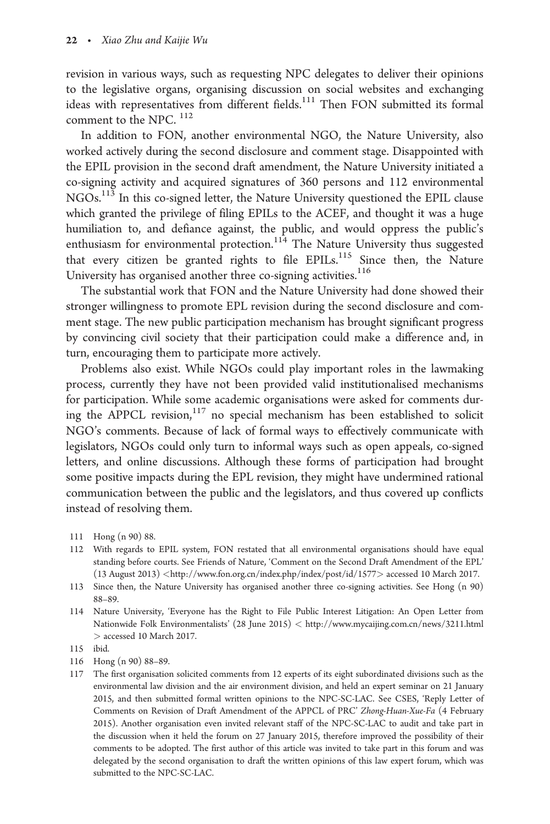revision in various ways, such as requesting NPC delegates to deliver their opinions to the legislative organs, organising discussion on social websites and exchanging ideas with representatives from different fields.<sup>111</sup> Then FON submitted its formal comment to the NPC.<sup>112</sup>

In addition to FON, another environmental NGO, the Nature University, also worked actively during the second disclosure and comment stage. Disappointed with the EPIL provision in the second draft amendment, the Nature University initiated a co-signing activity and acquired signatures of 360 persons and 112 environmental NGOs.113 In this co-signed letter, the Nature University questioned the EPIL clause which granted the privilege of filing EPILs to the ACEF, and thought it was a huge humiliation to, and defiance against, the public, and would oppress the public's enthusiasm for environmental protection.<sup>114</sup> The Nature University thus suggested that every citizen be granted rights to file EPILs.<sup>115</sup> Since then, the Nature University has organised another three co-signing activities.<sup>116</sup>

The substantial work that FON and the Nature University had done showed their stronger willingness to promote EPL revision during the second disclosure and comment stage. The new public participation mechanism has brought significant progress by convincing civil society that their participation could make a difference and, in turn, encouraging them to participate more actively.

Problems also exist. While NGOs could play important roles in the lawmaking process, currently they have not been provided valid institutionalised mechanisms for participation. While some academic organisations were asked for comments during the APPCL revision, $117$  no special mechanism has been established to solicit NGO's comments. Because of lack of formal ways to effectively communicate with legislators, NGOs could only turn to informal ways such as open appeals, co-signed letters, and online discussions. Although these forms of participation had brought some positive impacts during the EPL revision, they might have undermined rational communication between the public and the legislators, and thus covered up conflicts instead of resolving them.

- 112 With regards to EPIL system, FON restated that all environmental organisations should have equal standing before courts. See Friends of Nature, 'Comment on the Second Draft Amendment of the EPL' (13 August 2013) <<http://www.fon.org.cn/index.php/index/post/id/1577>> accessed 10 March 2017.
- 113 Since then, the Nature University has organised another three co-signing activities. See Hong (n 90) 88–89.
- 114 Nature University, 'Everyone has the Right to File Public Interest Litigation: An Open Letter from Nationwide Folk Environmentalists' (28 June 2015) < <http://www.mycaijing.com.cn/news/3211.html> > accessed 10 March 2017.

- 116 Hong (n 90) 88–89.
- 117 The first organisation solicited comments from 12 experts of its eight subordinated divisions such as the environmental law division and the air environment division, and held an expert seminar on 21 January 2015, and then submitted formal written opinions to the NPC-SC-LAC. See CSES, 'Reply Letter of Comments on Revision of Draft Amendment of the APPCL of PRC' Zhong-Huan-Xue-Fa (4 February 2015). Another organisation even invited relevant staff of the NPC-SC-LAC to audit and take part in the discussion when it held the forum on 27 January 2015, therefore improved the possibility of their comments to be adopted. The first author of this article was invited to take part in this forum and was delegated by the second organisation to draft the written opinions of this law expert forum, which was submitted to the NPC-SC-LAC.

<sup>111</sup> Hong (n 90) 88.

<sup>115</sup> ibid.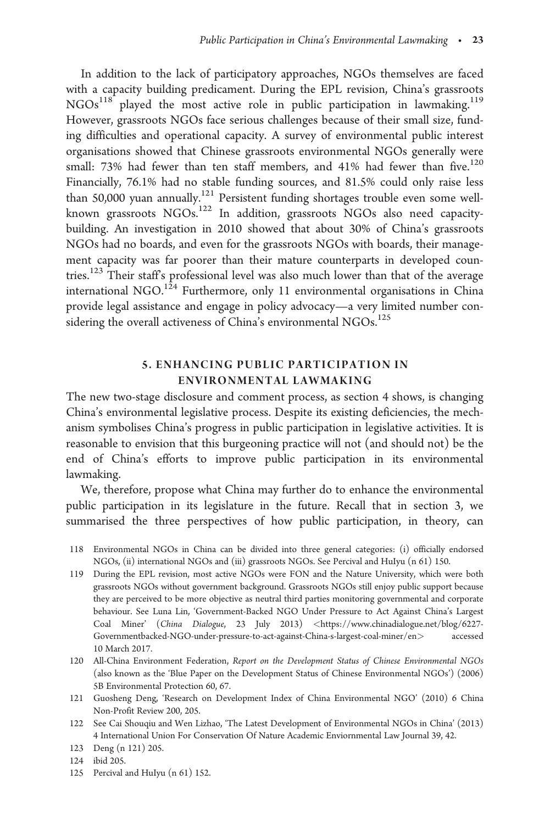In addition to the lack of participatory approaches, NGOs themselves are faced with a capacity building predicament. During the EPL revision, China's grassroots NGOs<sup>118</sup> played the most active role in public participation in lawmaking.<sup>119</sup> However, grassroots NGOs face serious challenges because of their small size, funding difficulties and operational capacity. A survey of environmental public interest organisations showed that Chinese grassroots environmental NGOs generally were small: 73% had fewer than ten staff members, and 41% had fewer than five.<sup>120</sup> Financially, 76.1% had no stable funding sources, and 81.5% could only raise less than 50,000 yuan annually.<sup>121</sup> Persistent funding shortages trouble even some wellknown grassroots NGOs.122 In addition, grassroots NGOs also need capacitybuilding. An investigation in 2010 showed that about 30% of China's grassroots NGOs had no boards, and even for the grassroots NGOs with boards, their management capacity was far poorer than their mature counterparts in developed countries.<sup>123</sup> Their staff's professional level was also much lower than that of the average international NGO.<sup>124</sup> Furthermore, only 11 environmental organisations in China provide legal assistance and engage in policy advocacy—a very limited number considering the overall activeness of China's environmental NGOs.<sup>125</sup>

### 5. ENHANCING PUBLIC PARTICIPATION IN ENVIRONMENTAL LAWMAKING

The new two-stage disclosure and comment process, as section 4 shows, is changing China's environmental legislative process. Despite its existing deficiencies, the mechanism symbolises China's progress in public participation in legislative activities. It is reasonable to envision that this burgeoning practice will not (and should not) be the end of China's efforts to improve public participation in its environmental lawmaking.

We, therefore, propose what China may further do to enhance the environmental public participation in its legislature in the future. Recall that in section 3, we summarised the three perspectives of how public participation, in theory, can

- 118 Environmental NGOs in China can be divided into three general categories: (i) officially endorsed NGOs, (ii) international NGOs and (iii) grassroots NGOs. See Percival and HuIyu (n 61) 150.
- 119 During the EPL revision, most active NGOs were FON and the Nature University, which were both grassroots NGOs without government background. Grassroots NGOs still enjoy public support because they are perceived to be more objective as neutral third parties monitoring governmental and corporate behaviour. See Luna Lin, 'Government-Backed NGO Under Pressure to Act Against China's Largest Coal Miner' (China Dialogue, 23 July 2013) <[https://www.chinadialogue.net/blog/6227-](https://www.chinadialogue.net/blog/6227-Governmentbacked-NGO-under-pressure-to-act-against-China-s-largest-coal-miner/en) [Governmentbacked-NGO-under-pressure-to-act-against-China-s-largest-coal-miner/en](https://www.chinadialogue.net/blog/6227-Governmentbacked-NGO-under-pressure-to-act-against-China-s-largest-coal-miner/en)> accessed 10 March 2017.
- 120 All-China Environment Federation, Report on the Development Status of Chinese Environmental NGOs (also known as the 'Blue Paper on the Development Status of Chinese Environmental NGOs') (2006) 5B Environmental Protection 60, 67.
- 121 Guosheng Deng, 'Research on Development Index of China Environmental NGO' (2010) 6 China Non-Profit Review 200, 205.
- 122 See Cai Shouqiu and Wen Lizhao, 'The Latest Development of Environmental NGOs in China' (2013) 4 International Union For Conservation Of Nature Academic Enviornmental Law Journal 39, 42.

125 Percival and HuIyu (n 61) 152.

<sup>123</sup> Deng (n 121) 205.

<sup>124</sup> ibid 205.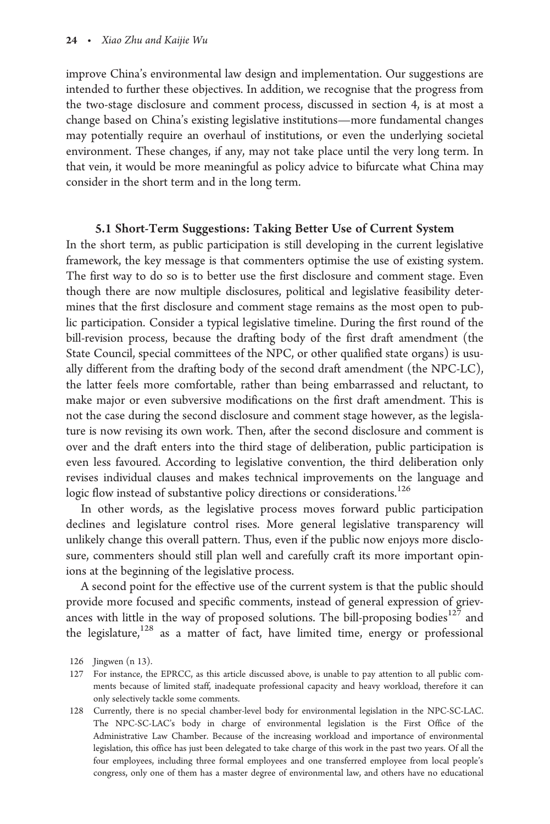improve China's environmental law design and implementation. Our suggestions are intended to further these objectives. In addition, we recognise that the progress from the two-stage disclosure and comment process, discussed in section 4, is at most a change based on China's existing legislative institutions—more fundamental changes may potentially require an overhaul of institutions, or even the underlying societal environment. These changes, if any, may not take place until the very long term. In that vein, it would be more meaningful as policy advice to bifurcate what China may consider in the short term and in the long term.

#### 5.1 Short-Term Suggestions: Taking Better Use of Current System

In the short term, as public participation is still developing in the current legislative framework, the key message is that commenters optimise the use of existing system. The first way to do so is to better use the first disclosure and comment stage. Even though there are now multiple disclosures, political and legislative feasibility determines that the first disclosure and comment stage remains as the most open to public participation. Consider a typical legislative timeline. During the first round of the bill-revision process, because the drafting body of the first draft amendment (the State Council, special committees of the NPC, or other qualified state organs) is usually different from the drafting body of the second draft amendment (the NPC-LC), the latter feels more comfortable, rather than being embarrassed and reluctant, to make major or even subversive modifications on the first draft amendment. This is not the case during the second disclosure and comment stage however, as the legislature is now revising its own work. Then, after the second disclosure and comment is over and the draft enters into the third stage of deliberation, public participation is even less favoured. According to legislative convention, the third deliberation only revises individual clauses and makes technical improvements on the language and logic flow instead of substantive policy directions or considerations.<sup>126</sup>

In other words, as the legislative process moves forward public participation declines and legislature control rises. More general legislative transparency will unlikely change this overall pattern. Thus, even if the public now enjoys more disclosure, commenters should still plan well and carefully craft its more important opinions at the beginning of the legislative process.

A second point for the effective use of the current system is that the public should provide more focused and specific comments, instead of general expression of grievances with little in the way of proposed solutions. The bill-proposing bodies<sup>127</sup> and the legislature,<sup>128</sup> as a matter of fact, have limited time, energy or professional

<sup>126</sup> Jingwen (n 13).

<sup>127</sup> For instance, the EPRCC, as this article discussed above, is unable to pay attention to all public comments because of limited staff, inadequate professional capacity and heavy workload, therefore it can only selectively tackle some comments.

<sup>128</sup> Currently, there is no special chamber-level body for environmental legislation in the NPC-SC-LAC. The NPC-SC-LAC's body in charge of environmental legislation is the First Office of the Administrative Law Chamber. Because of the increasing workload and importance of environmental legislation, this office has just been delegated to take charge of this work in the past two years. Of all the four employees, including three formal employees and one transferred employee from local people's congress, only one of them has a master degree of environmental law, and others have no educational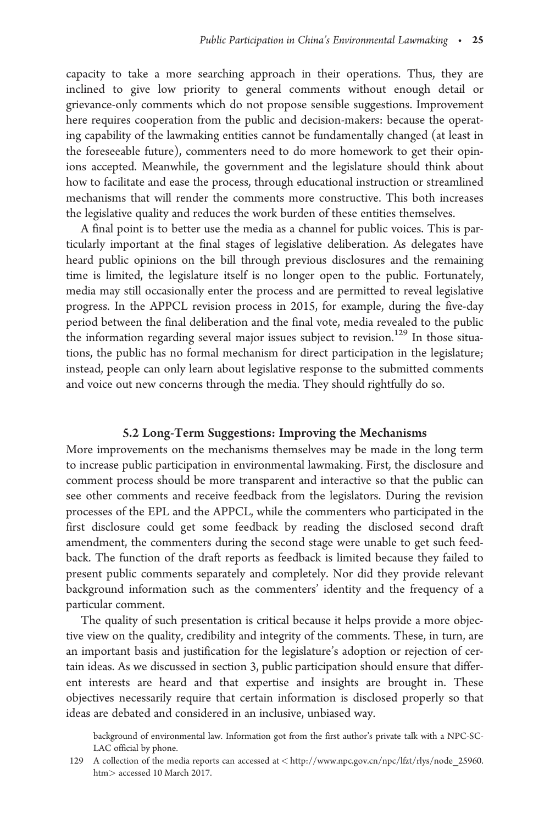capacity to take a more searching approach in their operations. Thus, they are inclined to give low priority to general comments without enough detail or grievance-only comments which do not propose sensible suggestions. Improvement here requires cooperation from the public and decision-makers: because the operating capability of the lawmaking entities cannot be fundamentally changed (at least in the foreseeable future), commenters need to do more homework to get their opinions accepted. Meanwhile, the government and the legislature should think about how to facilitate and ease the process, through educational instruction or streamlined mechanisms that will render the comments more constructive. This both increases the legislative quality and reduces the work burden of these entities themselves.

A final point is to better use the media as a channel for public voices. This is particularly important at the final stages of legislative deliberation. As delegates have heard public opinions on the bill through previous disclosures and the remaining time is limited, the legislature itself is no longer open to the public. Fortunately, media may still occasionally enter the process and are permitted to reveal legislative progress. In the APPCL revision process in 2015, for example, during the five-day period between the final deliberation and the final vote, media revealed to the public the information regarding several major issues subject to revision.<sup>129</sup> In those situations, the public has no formal mechanism for direct participation in the legislature; instead, people can only learn about legislative response to the submitted comments and voice out new concerns through the media. They should rightfully do so.

#### 5.2 Long-Term Suggestions: Improving the Mechanisms

More improvements on the mechanisms themselves may be made in the long term to increase public participation in environmental lawmaking. First, the disclosure and comment process should be more transparent and interactive so that the public can see other comments and receive feedback from the legislators. During the revision processes of the EPL and the APPCL, while the commenters who participated in the first disclosure could get some feedback by reading the disclosed second draft amendment, the commenters during the second stage were unable to get such feedback. The function of the draft reports as feedback is limited because they failed to present public comments separately and completely. Nor did they provide relevant background information such as the commenters' identity and the frequency of a particular comment.

The quality of such presentation is critical because it helps provide a more objective view on the quality, credibility and integrity of the comments. These, in turn, are an important basis and justification for the legislature's adoption or rejection of certain ideas. As we discussed in section 3, public participation should ensure that different interests are heard and that expertise and insights are brought in. These objectives necessarily require that certain information is disclosed properly so that ideas are debated and considered in an inclusive, unbiased way.

background of environmental law. Information got from the first author's private talk with a NPC-SC-LAC official by phone.

<sup>129</sup> A collection of the media reports can accessed at < [http://www.npc.gov.cn/npc/lfzt/rlys/node\\_25960.](http://www.npc.gov.cn/npc/lfzt/rlys/node_25960.htm) [htm](http://www.npc.gov.cn/npc/lfzt/rlys/node_25960.htm)> accessed 10 March 2017.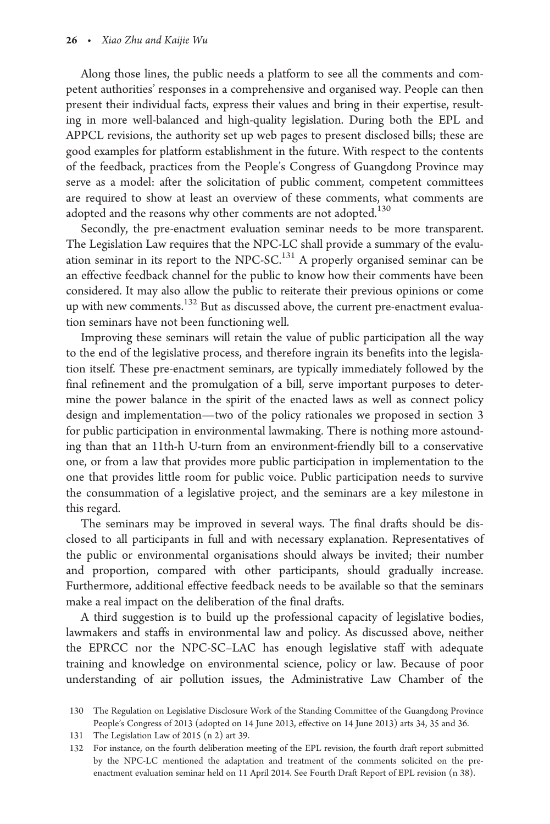Along those lines, the public needs a platform to see all the comments and competent authorities' responses in a comprehensive and organised way. People can then present their individual facts, express their values and bring in their expertise, resulting in more well-balanced and high-quality legislation. During both the EPL and APPCL revisions, the authority set up web pages to present disclosed bills; these are good examples for platform establishment in the future. With respect to the contents of the feedback, practices from the People's Congress of Guangdong Province may serve as a model: after the solicitation of public comment, competent committees are required to show at least an overview of these comments, what comments are adopted and the reasons why other comments are not adopted.<sup>130</sup>

Secondly, the pre-enactment evaluation seminar needs to be more transparent. The Legislation Law requires that the NPC-LC shall provide a summary of the evaluation seminar in its report to the NPC-SC.<sup>131</sup> A properly organised seminar can be an effective feedback channel for the public to know how their comments have been considered. It may also allow the public to reiterate their previous opinions or come up with new comments.<sup>132</sup> But as discussed above, the current pre-enactment evaluation seminars have not been functioning well.

Improving these seminars will retain the value of public participation all the way to the end of the legislative process, and therefore ingrain its benefits into the legislation itself. These pre-enactment seminars, are typically immediately followed by the final refinement and the promulgation of a bill, serve important purposes to determine the power balance in the spirit of the enacted laws as well as connect policy design and implementation—two of the policy rationales we proposed in section 3 for public participation in environmental lawmaking. There is nothing more astounding than that an 11th-h U-turn from an environment-friendly bill to a conservative one, or from a law that provides more public participation in implementation to the one that provides little room for public voice. Public participation needs to survive the consummation of a legislative project, and the seminars are a key milestone in this regard.

The seminars may be improved in several ways. The final drafts should be disclosed to all participants in full and with necessary explanation. Representatives of the public or environmental organisations should always be invited; their number and proportion, compared with other participants, should gradually increase. Furthermore, additional effective feedback needs to be available so that the seminars make a real impact on the deliberation of the final drafts.

A third suggestion is to build up the professional capacity of legislative bodies, lawmakers and staffs in environmental law and policy. As discussed above, neither the EPRCC nor the NPC-SC–LAC has enough legislative staff with adequate training and knowledge on environmental science, policy or law. Because of poor understanding of air pollution issues, the Administrative Law Chamber of the

<sup>130</sup> The Regulation on Legislative Disclosure Work of the Standing Committee of the Guangdong Province People's Congress of 2013 (adopted on 14 June 2013, effective on 14 June 2013) arts 34, 35 and 36.

<sup>131</sup> The Legislation Law of 2015 (n 2) art 39.

<sup>132</sup> For instance, on the fourth deliberation meeting of the EPL revision, the fourth draft report submitted by the NPC-LC mentioned the adaptation and treatment of the comments solicited on the preenactment evaluation seminar held on 11 April 2014. See Fourth Draft Report of EPL revision (n 38).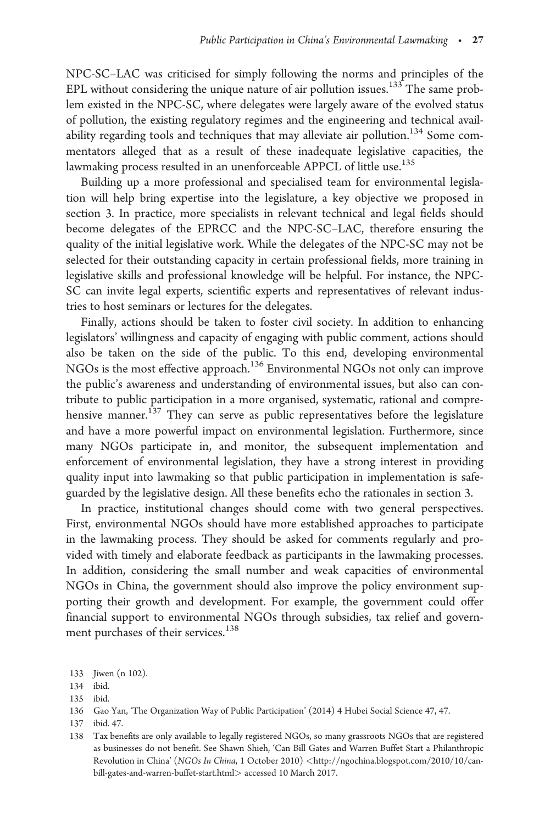NPC-SC–LAC was criticised for simply following the norms and principles of the EPL without considering the unique nature of air pollution issues.<sup>133</sup> The same problem existed in the NPC-SC, where delegates were largely aware of the evolved status of pollution, the existing regulatory regimes and the engineering and technical availability regarding tools and techniques that may alleviate air pollution.<sup>134</sup> Some commentators alleged that as a result of these inadequate legislative capacities, the lawmaking process resulted in an unenforceable APPCL of little use.<sup>135</sup>

Building up a more professional and specialised team for environmental legislation will help bring expertise into the legislature, a key objective we proposed in section 3. In practice, more specialists in relevant technical and legal fields should become delegates of the EPRCC and the NPC-SC–LAC, therefore ensuring the quality of the initial legislative work. While the delegates of the NPC-SC may not be selected for their outstanding capacity in certain professional fields, more training in legislative skills and professional knowledge will be helpful. For instance, the NPC-SC can invite legal experts, scientific experts and representatives of relevant industries to host seminars or lectures for the delegates.

Finally, actions should be taken to foster civil society. In addition to enhancing legislators' willingness and capacity of engaging with public comment, actions should also be taken on the side of the public. To this end, developing environmental NGOs is the most effective approach.136 Environmental NGOs not only can improve the public's awareness and understanding of environmental issues, but also can contribute to public participation in a more organised, systematic, rational and comprehensive manner.<sup>137</sup> They can serve as public representatives before the legislature and have a more powerful impact on environmental legislation. Furthermore, since many NGOs participate in, and monitor, the subsequent implementation and enforcement of environmental legislation, they have a strong interest in providing quality input into lawmaking so that public participation in implementation is safeguarded by the legislative design. All these benefits echo the rationales in section 3.

In practice, institutional changes should come with two general perspectives. First, environmental NGOs should have more established approaches to participate in the lawmaking process. They should be asked for comments regularly and provided with timely and elaborate feedback as participants in the lawmaking processes. In addition, considering the small number and weak capacities of environmental NGOs in China, the government should also improve the policy environment supporting their growth and development. For example, the government could offer financial support to environmental NGOs through subsidies, tax relief and government purchases of their services.<sup>138</sup>

137 ibid. 47.

<sup>133</sup> Jiwen (n 102).

<sup>134</sup> ibid.

<sup>135</sup> ibid.

<sup>136</sup> Gao Yan, 'The Organization Way of Public Participation' (2014) 4 Hubei Social Science 47, 47.

<sup>138</sup> Tax benefits are only available to legally registered NGOs, so many grassroots NGOs that are registered as businesses do not benefit. See Shawn Shieh, 'Can Bill Gates and Warren Buffet Start a Philanthropic Revolution in China' (NGOs In China, 1 October 2010) <[http://ngochina.blogspot.com/2010/10/can](http://ngochina.blogspot.com/2010/10/can-bill-gates-and-warren-buffet-start.html>)[bill-gates-and-warren-buffet-start.html](http://ngochina.blogspot.com/2010/10/can-bill-gates-and-warren-buffet-start.html>)> accessed 10 March 2017.